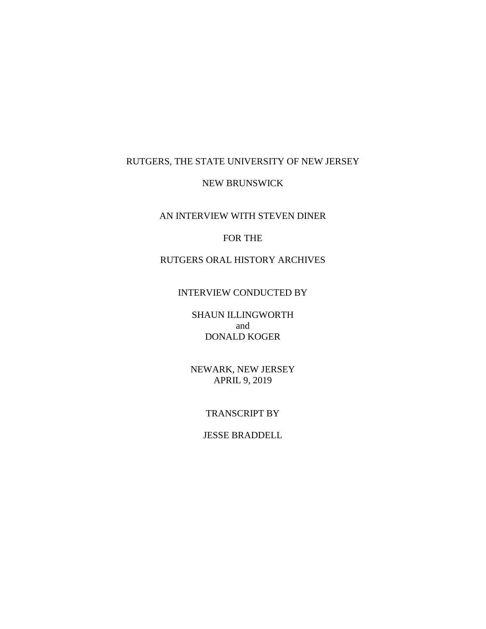# RUTGERS, THE STATE UNIVERSITY OF NEW JERSEY

### NEW BRUNSWICK

AN INTERVIEW WITH STEVEN DINER

### FOR THE

# RUTGERS ORAL HISTORY ARCHIVES

### INTERVIEW CONDUCTED BY

SHAUN ILLINGWORTH and DONALD KOGER

NEWARK, NEW JERSEY APRIL 9, 2019

#### TRANSCRIPT BY

# JESSE BRADDELL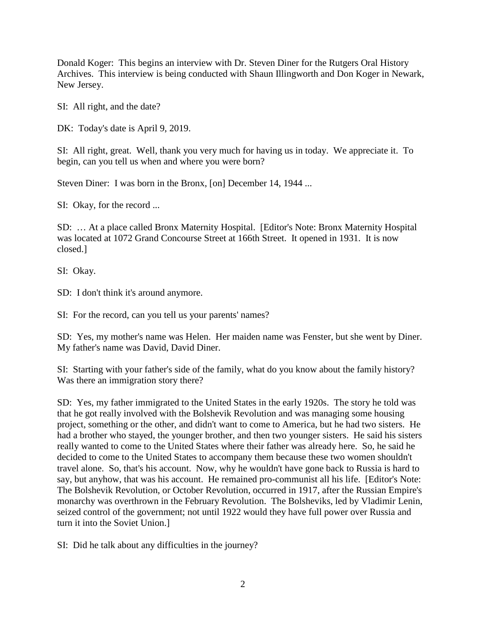Donald Koger: This begins an interview with Dr. Steven Diner for the Rutgers Oral History Archives. This interview is being conducted with Shaun Illingworth and Don Koger in Newark, New Jersey.

SI: All right, and the date?

DK: Today's date is April 9, 2019.

SI: All right, great. Well, thank you very much for having us in today. We appreciate it. To begin, can you tell us when and where you were born?

Steven Diner: I was born in the Bronx, [on] December 14, 1944 ...

SI: Okay, for the record ...

SD: … At a place called Bronx Maternity Hospital. [Editor's Note: Bronx Maternity Hospital was located at 1072 Grand Concourse Street at 166th Street. It opened in 1931. It is now closed.]

SI: Okay.

SD: I don't think it's around anymore.

SI: For the record, can you tell us your parents' names?

SD: Yes, my mother's name was Helen. Her maiden name was Fenster, but she went by Diner. My father's name was David, David Diner.

SI: Starting with your father's side of the family, what do you know about the family history? Was there an immigration story there?

SD: Yes, my father immigrated to the United States in the early 1920s. The story he told was that he got really involved with the Bolshevik Revolution and was managing some housing project, something or the other, and didn't want to come to America, but he had two sisters. He had a brother who stayed, the younger brother, and then two younger sisters. He said his sisters really wanted to come to the United States where their father was already here. So, he said he decided to come to the United States to accompany them because these two women shouldn't travel alone. So, that's his account. Now, why he wouldn't have gone back to Russia is hard to say, but anyhow, that was his account. He remained pro-communist all his life. [Editor's Note: The Bolshevik Revolution, or October Revolution, occurred in 1917, after the Russian Empire's monarchy was overthrown in the February Revolution. The Bolsheviks, led by Vladimir Lenin, seized control of the government; not until 1922 would they have full power over Russia and turn it into the Soviet Union.]

SI: Did he talk about any difficulties in the journey?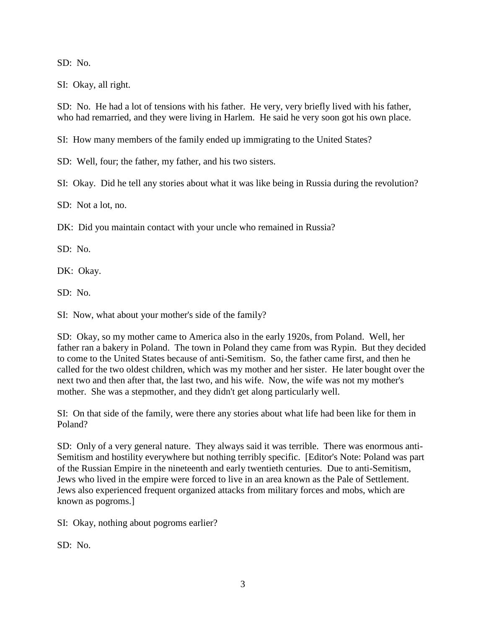SD: No.

SI: Okay, all right.

SD: No. He had a lot of tensions with his father. He very, very briefly lived with his father, who had remarried, and they were living in Harlem. He said he very soon got his own place.

SI: How many members of the family ended up immigrating to the United States?

SD: Well, four; the father, my father, and his two sisters.

SI: Okay. Did he tell any stories about what it was like being in Russia during the revolution?

SD: Not a lot, no.

DK: Did you maintain contact with your uncle who remained in Russia?

SD: No.

DK: Okay.

SD: No.

SI: Now, what about your mother's side of the family?

SD: Okay, so my mother came to America also in the early 1920s, from Poland. Well, her father ran a bakery in Poland. The town in Poland they came from was Rypin. But they decided to come to the United States because of anti-Semitism. So, the father came first, and then he called for the two oldest children, which was my mother and her sister. He later bought over the next two and then after that, the last two, and his wife. Now, the wife was not my mother's mother. She was a stepmother, and they didn't get along particularly well.

SI: On that side of the family, were there any stories about what life had been like for them in Poland?

SD: Only of a very general nature. They always said it was terrible. There was enormous anti-Semitism and hostility everywhere but nothing terribly specific. [Editor's Note: Poland was part of the Russian Empire in the nineteenth and early twentieth centuries. Due to anti-Semitism, Jews who lived in the empire were forced to live in an area known as the Pale of Settlement. Jews also experienced frequent organized attacks from military forces and mobs, which are known as pogroms.]

SI: Okay, nothing about pogroms earlier?

SD: No.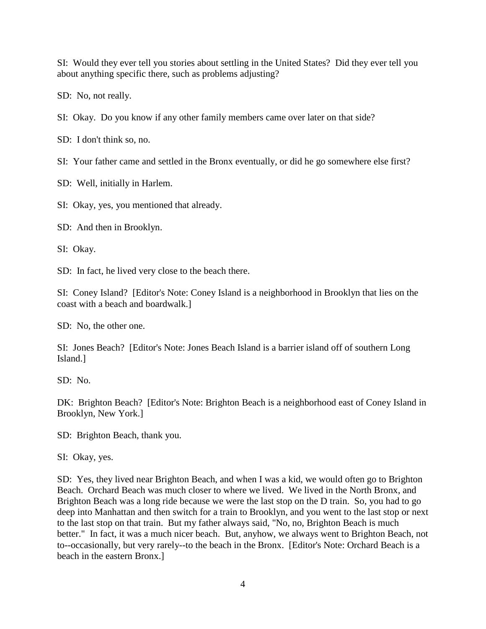SI: Would they ever tell you stories about settling in the United States? Did they ever tell you about anything specific there, such as problems adjusting?

SD: No, not really.

SI: Okay. Do you know if any other family members came over later on that side?

SD: I don't think so, no.

SI: Your father came and settled in the Bronx eventually, or did he go somewhere else first?

SD: Well, initially in Harlem.

SI: Okay, yes, you mentioned that already.

SD: And then in Brooklyn.

SI: Okay.

SD: In fact, he lived very close to the beach there.

SI: Coney Island? [Editor's Note: Coney Island is a neighborhood in Brooklyn that lies on the coast with a beach and boardwalk.]

SD: No, the other one.

SI: Jones Beach? [Editor's Note: Jones Beach Island is a barrier island off of southern Long Island.]

SD: No.

DK: Brighton Beach? [Editor's Note: Brighton Beach is a neighborhood east of Coney Island in Brooklyn, New York.]

SD: Brighton Beach, thank you.

SI: Okay, yes.

SD: Yes, they lived near Brighton Beach, and when I was a kid, we would often go to Brighton Beach. Orchard Beach was much closer to where we lived. We lived in the North Bronx, and Brighton Beach was a long ride because we were the last stop on the D train. So, you had to go deep into Manhattan and then switch for a train to Brooklyn, and you went to the last stop or next to the last stop on that train. But my father always said, "No, no, Brighton Beach is much better." In fact, it was a much nicer beach. But, anyhow, we always went to Brighton Beach, not to--occasionally, but very rarely--to the beach in the Bronx. [Editor's Note: Orchard Beach is a beach in the eastern Bronx.]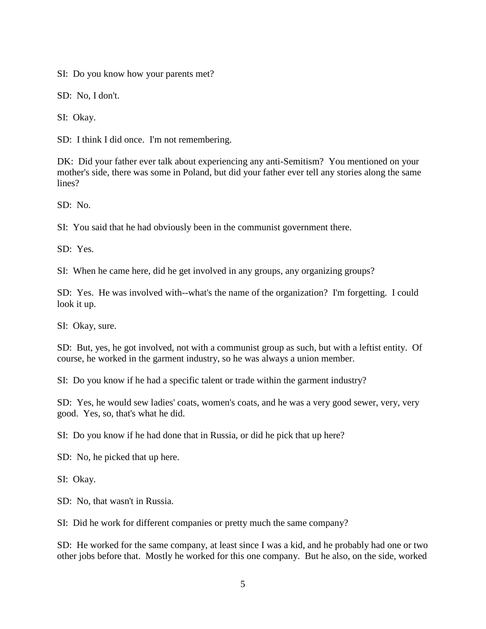SI: Do you know how your parents met?

SD: No, I don't.

SI: Okay.

SD: I think I did once. I'm not remembering.

DK: Did your father ever talk about experiencing any anti-Semitism? You mentioned on your mother's side, there was some in Poland, but did your father ever tell any stories along the same lines?

SD: No.

SI: You said that he had obviously been in the communist government there.

SD: Yes.

SI: When he came here, did he get involved in any groups, any organizing groups?

SD: Yes. He was involved with--what's the name of the organization? I'm forgetting. I could look it up.

SI: Okay, sure.

SD: But, yes, he got involved, not with a communist group as such, but with a leftist entity. Of course, he worked in the garment industry, so he was always a union member.

SI: Do you know if he had a specific talent or trade within the garment industry?

SD: Yes, he would sew ladies' coats, women's coats, and he was a very good sewer, very, very good. Yes, so, that's what he did.

SI: Do you know if he had done that in Russia, or did he pick that up here?

SD: No, he picked that up here.

SI: Okay.

SD: No, that wasn't in Russia.

SI: Did he work for different companies or pretty much the same company?

SD: He worked for the same company, at least since I was a kid, and he probably had one or two other jobs before that. Mostly he worked for this one company. But he also, on the side, worked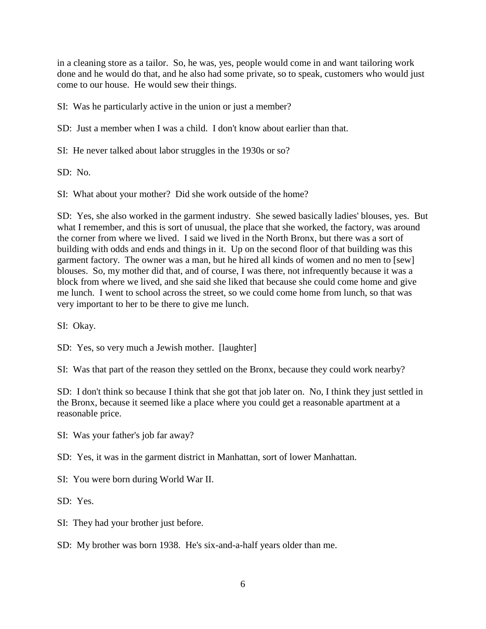in a cleaning store as a tailor. So, he was, yes, people would come in and want tailoring work done and he would do that, and he also had some private, so to speak, customers who would just come to our house. He would sew their things.

SI: Was he particularly active in the union or just a member?

SD: Just a member when I was a child. I don't know about earlier than that.

SI: He never talked about labor struggles in the 1930s or so?

 $SD: No.$ 

SI: What about your mother? Did she work outside of the home?

SD: Yes, she also worked in the garment industry. She sewed basically ladies' blouses, yes. But what I remember, and this is sort of unusual, the place that she worked, the factory, was around the corner from where we lived. I said we lived in the North Bronx, but there was a sort of building with odds and ends and things in it. Up on the second floor of that building was this garment factory. The owner was a man, but he hired all kinds of women and no men to [sew] blouses. So, my mother did that, and of course, I was there, not infrequently because it was a block from where we lived, and she said she liked that because she could come home and give me lunch. I went to school across the street, so we could come home from lunch, so that was very important to her to be there to give me lunch.

SI: Okay.

SD: Yes, so very much a Jewish mother. [laughter]

SI: Was that part of the reason they settled on the Bronx, because they could work nearby?

SD: I don't think so because I think that she got that job later on. No, I think they just settled in the Bronx, because it seemed like a place where you could get a reasonable apartment at a reasonable price.

SI: Was your father's job far away?

SD: Yes, it was in the garment district in Manhattan, sort of lower Manhattan.

SI: You were born during World War II.

SD: Yes.

SI: They had your brother just before.

SD: My brother was born 1938. He's six-and-a-half years older than me.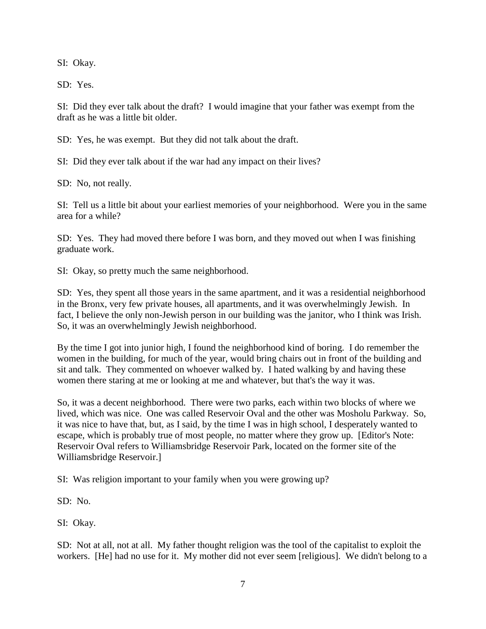SI: Okay.

SD: Yes.

SI: Did they ever talk about the draft? I would imagine that your father was exempt from the draft as he was a little bit older.

SD: Yes, he was exempt. But they did not talk about the draft.

SI: Did they ever talk about if the war had any impact on their lives?

SD: No, not really.

SI: Tell us a little bit about your earliest memories of your neighborhood. Were you in the same area for a while?

SD: Yes. They had moved there before I was born, and they moved out when I was finishing graduate work.

SI: Okay, so pretty much the same neighborhood.

SD: Yes, they spent all those years in the same apartment, and it was a residential neighborhood in the Bronx, very few private houses, all apartments, and it was overwhelmingly Jewish. In fact, I believe the only non-Jewish person in our building was the janitor, who I think was Irish. So, it was an overwhelmingly Jewish neighborhood.

By the time I got into junior high, I found the neighborhood kind of boring. I do remember the women in the building, for much of the year, would bring chairs out in front of the building and sit and talk. They commented on whoever walked by. I hated walking by and having these women there staring at me or looking at me and whatever, but that's the way it was.

So, it was a decent neighborhood. There were two parks, each within two blocks of where we lived, which was nice. One was called Reservoir Oval and the other was Mosholu Parkway. So, it was nice to have that, but, as I said, by the time I was in high school, I desperately wanted to escape, which is probably true of most people, no matter where they grow up. [Editor's Note: Reservoir Oval refers to Williamsbridge Reservoir Park, located on the former site of the Williamsbridge Reservoir.]

SI: Was religion important to your family when you were growing up?

SD: No.

SI: Okay.

SD: Not at all, not at all. My father thought religion was the tool of the capitalist to exploit the workers. [He] had no use for it. My mother did not ever seem [religious]. We didn't belong to a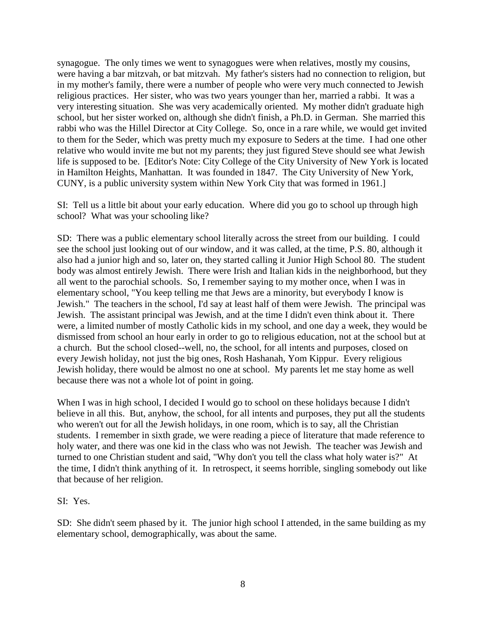synagogue. The only times we went to synagogues were when relatives, mostly my cousins, were having a bar mitzvah, or bat mitzvah. My father's sisters had no connection to religion, but in my mother's family, there were a number of people who were very much connected to Jewish religious practices. Her sister, who was two years younger than her, married a rabbi. It was a very interesting situation. She was very academically oriented. My mother didn't graduate high school, but her sister worked on, although she didn't finish, a Ph.D. in German. She married this rabbi who was the Hillel Director at City College. So, once in a rare while, we would get invited to them for the Seder, which was pretty much my exposure to Seders at the time. I had one other relative who would invite me but not my parents; they just figured Steve should see what Jewish life is supposed to be. [Editor's Note: City College of the City University of New York is located in Hamilton Heights, Manhattan. It was founded in 1847. The City University of New York, CUNY, is a public university system within New York City that was formed in 1961.]

SI: Tell us a little bit about your early education. Where did you go to school up through high school? What was your schooling like?

SD: There was a public elementary school literally across the street from our building. I could see the school just looking out of our window, and it was called, at the time, P.S. 80, although it also had a junior high and so, later on, they started calling it Junior High School 80. The student body was almost entirely Jewish. There were Irish and Italian kids in the neighborhood, but they all went to the parochial schools. So, I remember saying to my mother once, when I was in elementary school, "You keep telling me that Jews are a minority, but everybody I know is Jewish." The teachers in the school, I'd say at least half of them were Jewish. The principal was Jewish. The assistant principal was Jewish, and at the time I didn't even think about it. There were, a limited number of mostly Catholic kids in my school, and one day a week, they would be dismissed from school an hour early in order to go to religious education, not at the school but at a church. But the school closed--well, no, the school, for all intents and purposes, closed on every Jewish holiday, not just the big ones, Rosh Hashanah, Yom Kippur. Every religious Jewish holiday, there would be almost no one at school. My parents let me stay home as well because there was not a whole lot of point in going.

When I was in high school, I decided I would go to school on these holidays because I didn't believe in all this. But, anyhow, the school, for all intents and purposes, they put all the students who weren't out for all the Jewish holidays, in one room, which is to say, all the Christian students. I remember in sixth grade, we were reading a piece of literature that made reference to holy water, and there was one kid in the class who was not Jewish. The teacher was Jewish and turned to one Christian student and said, "Why don't you tell the class what holy water is?" At the time, I didn't think anything of it. In retrospect, it seems horrible, singling somebody out like that because of her religion.

#### SI: Yes.

SD: She didn't seem phased by it. The junior high school I attended, in the same building as my elementary school, demographically, was about the same.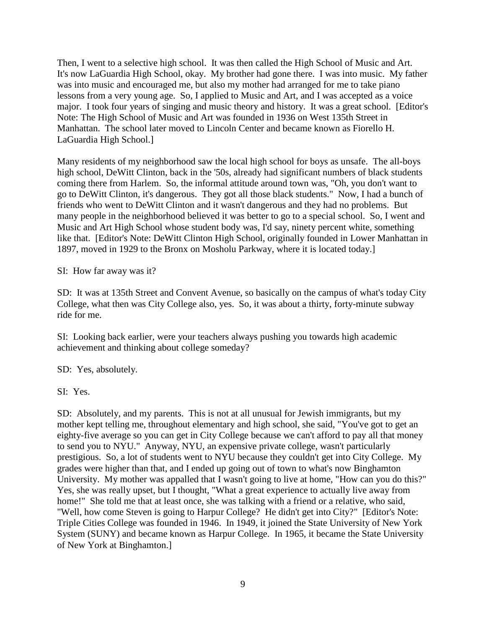Then, I went to a selective high school. It was then called the High School of Music and Art. It's now LaGuardia High School, okay. My brother had gone there. I was into music. My father was into music and encouraged me, but also my mother had arranged for me to take piano lessons from a very young age. So, I applied to Music and Art, and I was accepted as a voice major. I took four years of singing and music theory and history. It was a great school. [Editor's Note: The High School of Music and Art was founded in 1936 on West 135th Street in Manhattan. The school later moved to Lincoln Center and became known as Fiorello H. LaGuardia High School.]

Many residents of my neighborhood saw the local high school for boys as unsafe. The all-boys high school, DeWitt Clinton, back in the '50s, already had significant numbers of black students coming there from Harlem. So, the informal attitude around town was, "Oh, you don't want to go to DeWitt Clinton, it's dangerous. They got all those black students." Now, I had a bunch of friends who went to DeWitt Clinton and it wasn't dangerous and they had no problems. But many people in the neighborhood believed it was better to go to a special school. So, I went and Music and Art High School whose student body was, I'd say, ninety percent white, something like that. [Editor's Note: DeWitt Clinton High School, originally founded in Lower Manhattan in 1897, moved in 1929 to the Bronx on Mosholu Parkway, where it is located today.]

SI: How far away was it?

SD: It was at 135th Street and Convent Avenue, so basically on the campus of what's today City College, what then was City College also, yes. So, it was about a thirty, forty-minute subway ride for me.

SI: Looking back earlier, were your teachers always pushing you towards high academic achievement and thinking about college someday?

SD: Yes, absolutely.

SI: Yes.

SD: Absolutely, and my parents. This is not at all unusual for Jewish immigrants, but my mother kept telling me, throughout elementary and high school, she said, "You've got to get an eighty-five average so you can get in City College because we can't afford to pay all that money to send you to NYU." Anyway, NYU, an expensive private college, wasn't particularly prestigious. So, a lot of students went to NYU because they couldn't get into City College. My grades were higher than that, and I ended up going out of town to what's now Binghamton University. My mother was appalled that I wasn't going to live at home, "How can you do this?" Yes, she was really upset, but I thought, "What a great experience to actually live away from home!" She told me that at least once, she was talking with a friend or a relative, who said, "Well, how come Steven is going to Harpur College? He didn't get into City?" [Editor's Note: Triple Cities College was founded in 1946. In 1949, it joined the State University of New York System (SUNY) and became known as Harpur College. In 1965, it became the State University of New York at Binghamton.]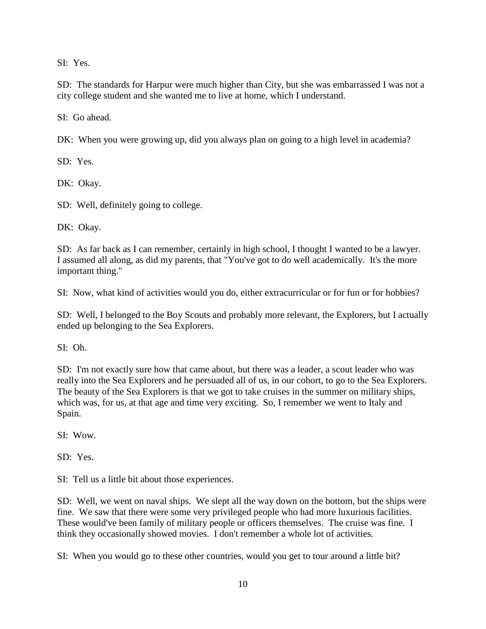SI: Yes.

SD: The standards for Harpur were much higher than City, but she was embarrassed I was not a city college student and she wanted me to live at home, which I understand.

SI: Go ahead.

DK: When you were growing up, did you always plan on going to a high level in academia?

SD: Yes.

DK: Okay.

SD: Well, definitely going to college.

DK: Okay.

SD: As far back as I can remember, certainly in high school, I thought I wanted to be a lawyer. I assumed all along, as did my parents, that "You've got to do well academically. It's the more important thing."

SI: Now, what kind of activities would you do, either extracurricular or for fun or for hobbies?

SD: Well, I belonged to the Boy Scouts and probably more relevant, the Explorers, but I actually ended up belonging to the Sea Explorers.

SI: Oh.

SD: I'm not exactly sure how that came about, but there was a leader, a scout leader who was really into the Sea Explorers and he persuaded all of us, in our cohort, to go to the Sea Explorers. The beauty of the Sea Explorers is that we got to take cruises in the summer on military ships, which was, for us, at that age and time very exciting. So, I remember we went to Italy and Spain.

SI: Wow.

SD: Yes.

SI: Tell us a little bit about those experiences.

SD: Well, we went on naval ships. We slept all the way down on the bottom, but the ships were fine. We saw that there were some very privileged people who had more luxurious facilities. These would've been family of military people or officers themselves. The cruise was fine. I think they occasionally showed movies. I don't remember a whole lot of activities.

SI: When you would go to these other countries, would you get to tour around a little bit?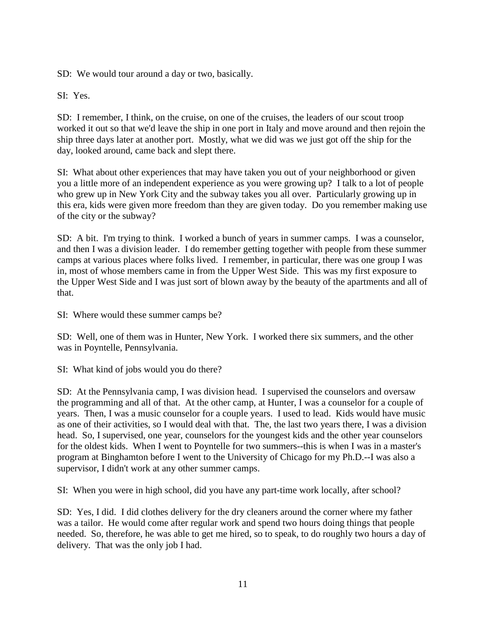SD: We would tour around a day or two, basically.

SI: Yes.

SD: I remember, I think, on the cruise, on one of the cruises, the leaders of our scout troop worked it out so that we'd leave the ship in one port in Italy and move around and then rejoin the ship three days later at another port. Mostly, what we did was we just got off the ship for the day, looked around, came back and slept there.

SI: What about other experiences that may have taken you out of your neighborhood or given you a little more of an independent experience as you were growing up? I talk to a lot of people who grew up in New York City and the subway takes you all over. Particularly growing up in this era, kids were given more freedom than they are given today. Do you remember making use of the city or the subway?

SD: A bit. I'm trying to think. I worked a bunch of years in summer camps. I was a counselor, and then I was a division leader. I do remember getting together with people from these summer camps at various places where folks lived. I remember, in particular, there was one group I was in, most of whose members came in from the Upper West Side. This was my first exposure to the Upper West Side and I was just sort of blown away by the beauty of the apartments and all of that.

SI: Where would these summer camps be?

SD: Well, one of them was in Hunter, New York. I worked there six summers, and the other was in Poyntelle, Pennsylvania.

SI: What kind of jobs would you do there?

SD: At the Pennsylvania camp, I was division head. I supervised the counselors and oversaw the programming and all of that. At the other camp, at Hunter, I was a counselor for a couple of years. Then, I was a music counselor for a couple years. I used to lead. Kids would have music as one of their activities, so I would deal with that. The, the last two years there, I was a division head. So, I supervised, one year, counselors for the youngest kids and the other year counselors for the oldest kids. When I went to Poyntelle for two summers--this is when I was in a master's program at Binghamton before I went to the University of Chicago for my Ph.D.--I was also a supervisor, I didn't work at any other summer camps.

SI: When you were in high school, did you have any part-time work locally, after school?

SD: Yes, I did. I did clothes delivery for the dry cleaners around the corner where my father was a tailor. He would come after regular work and spend two hours doing things that people needed. So, therefore, he was able to get me hired, so to speak, to do roughly two hours a day of delivery. That was the only job I had.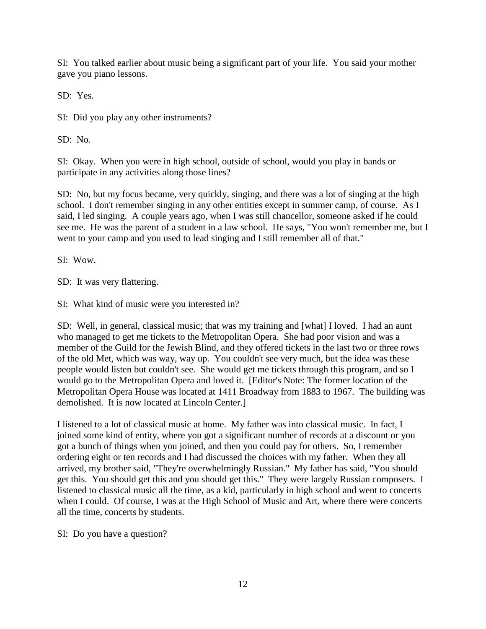SI: You talked earlier about music being a significant part of your life. You said your mother gave you piano lessons.

SD: Yes.

SI: Did you play any other instruments?

SD: No.

SI: Okay. When you were in high school, outside of school, would you play in bands or participate in any activities along those lines?

SD: No, but my focus became, very quickly, singing, and there was a lot of singing at the high school. I don't remember singing in any other entities except in summer camp, of course. As I said, I led singing. A couple years ago, when I was still chancellor, someone asked if he could see me. He was the parent of a student in a law school. He says, "You won't remember me, but I went to your camp and you used to lead singing and I still remember all of that."

SI: Wow.

SD: It was very flattering.

SI: What kind of music were you interested in?

SD: Well, in general, classical music; that was my training and [what] I loved. I had an aunt who managed to get me tickets to the Metropolitan Opera. She had poor vision and was a member of the Guild for the Jewish Blind, and they offered tickets in the last two or three rows of the old Met, which was way, way up. You couldn't see very much, but the idea was these people would listen but couldn't see. She would get me tickets through this program, and so I would go to the Metropolitan Opera and loved it. [Editor's Note: The former location of the Metropolitan Opera House was located at 1411 Broadway from 1883 to 1967. The building was demolished. It is now located at Lincoln Center.]

I listened to a lot of classical music at home. My father was into classical music. In fact, I joined some kind of entity, where you got a significant number of records at a discount or you got a bunch of things when you joined, and then you could pay for others. So, I remember ordering eight or ten records and I had discussed the choices with my father. When they all arrived, my brother said, "They're overwhelmingly Russian." My father has said, "You should get this. You should get this and you should get this." They were largely Russian composers. I listened to classical music all the time, as a kid, particularly in high school and went to concerts when I could. Of course, I was at the High School of Music and Art, where there were concerts all the time, concerts by students.

SI: Do you have a question?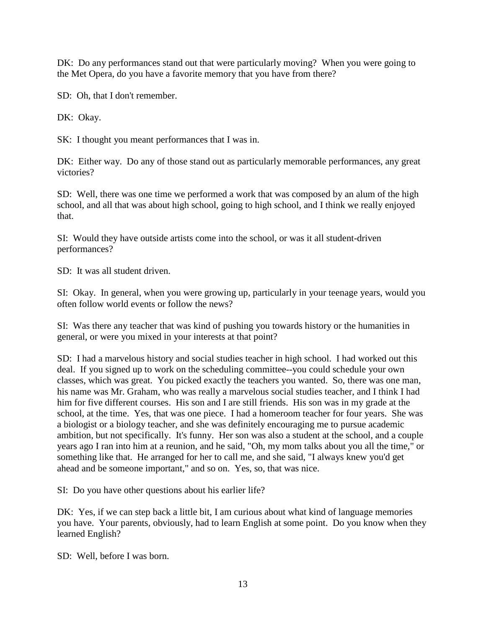DK: Do any performances stand out that were particularly moving? When you were going to the Met Opera, do you have a favorite memory that you have from there?

SD: Oh, that I don't remember.

DK: Okay.

SK: I thought you meant performances that I was in.

DK: Either way. Do any of those stand out as particularly memorable performances, any great victories?

SD: Well, there was one time we performed a work that was composed by an alum of the high school, and all that was about high school, going to high school, and I think we really enjoyed that.

SI: Would they have outside artists come into the school, or was it all student-driven performances?

SD: It was all student driven.

SI: Okay. In general, when you were growing up, particularly in your teenage years, would you often follow world events or follow the news?

SI: Was there any teacher that was kind of pushing you towards history or the humanities in general, or were you mixed in your interests at that point?

SD: I had a marvelous history and social studies teacher in high school. I had worked out this deal. If you signed up to work on the scheduling committee--you could schedule your own classes, which was great. You picked exactly the teachers you wanted. So, there was one man, his name was Mr. Graham, who was really a marvelous social studies teacher, and I think I had him for five different courses. His son and I are still friends. His son was in my grade at the school, at the time. Yes, that was one piece. I had a homeroom teacher for four years. She was a biologist or a biology teacher, and she was definitely encouraging me to pursue academic ambition, but not specifically. It's funny. Her son was also a student at the school, and a couple years ago I ran into him at a reunion, and he said, "Oh, my mom talks about you all the time," or something like that. He arranged for her to call me, and she said, "I always knew you'd get ahead and be someone important," and so on. Yes, so, that was nice.

SI: Do you have other questions about his earlier life?

DK: Yes, if we can step back a little bit, I am curious about what kind of language memories you have. Your parents, obviously, had to learn English at some point. Do you know when they learned English?

SD: Well, before I was born.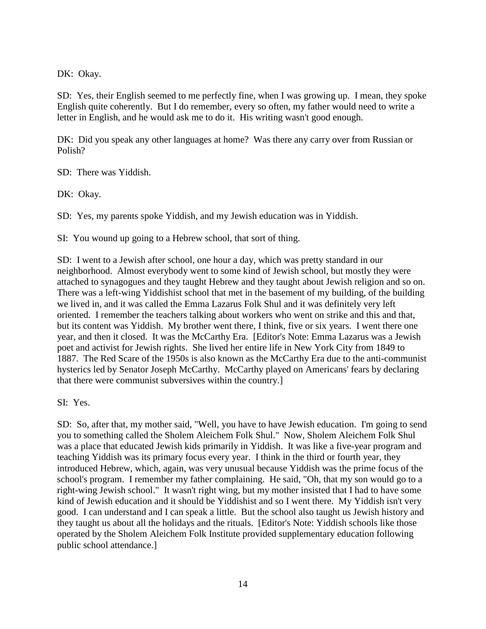DK: Okay.

SD: Yes, their English seemed to me perfectly fine, when I was growing up. I mean, they spoke English quite coherently. But I do remember, every so often, my father would need to write a letter in English, and he would ask me to do it. His writing wasn't good enough.

DK: Did you speak any other languages at home? Was there any carry over from Russian or Polish?

SD: There was Yiddish.

DK: Okay.

SD: Yes, my parents spoke Yiddish, and my Jewish education was in Yiddish.

SI: You wound up going to a Hebrew school, that sort of thing.

SD: I went to a Jewish after school, one hour a day, which was pretty standard in our neighborhood. Almost everybody went to some kind of Jewish school, but mostly they were attached to synagogues and they taught Hebrew and they taught about Jewish religion and so on. There was a left-wing Yiddishist school that met in the basement of my building, of the building we lived in, and it was called the Emma Lazarus Folk Shul and it was definitely very left oriented. I remember the teachers talking about workers who went on strike and this and that, but its content was Yiddish. My brother went there, I think, five or six years. I went there one year, and then it closed. It was the McCarthy Era. [Editor's Note: Emma Lazarus was a Jewish poet and activist for Jewish rights. She lived her entire life in New York City from 1849 to 1887. The Red Scare of the 1950s is also known as the McCarthy Era due to the anti-communist hysterics led by Senator Joseph McCarthy. McCarthy played on Americans' fears by declaring that there were communist subversives within the country.]

SI: Yes.

SD: So, after that, my mother said, "Well, you have to have Jewish education. I'm going to send you to something called the Sholem Aleichem Folk Shul." Now, Sholem Aleichem Folk Shul was a place that educated Jewish kids primarily in Yiddish. It was like a five-year program and teaching Yiddish was its primary focus every year. I think in the third or fourth year, they introduced Hebrew, which, again, was very unusual because Yiddish was the prime focus of the school's program. I remember my father complaining. He said, "Oh, that my son would go to a right-wing Jewish school." It wasn't right wing, but my mother insisted that I had to have some kind of Jewish education and it should be Yiddishist and so I went there. My Yiddish isn't very good. I can understand and I can speak a little. But the school also taught us Jewish history and they taught us about all the holidays and the rituals. [Editor's Note: Yiddish schools like those operated by the Sholem Aleichem Folk Institute provided supplementary education following public school attendance.]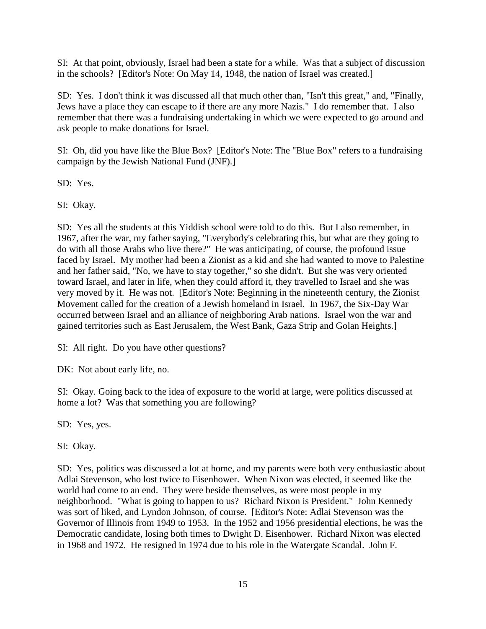SI: At that point, obviously, Israel had been a state for a while. Was that a subject of discussion in the schools? [Editor's Note: On May 14, 1948, the nation of Israel was created.]

SD: Yes. I don't think it was discussed all that much other than, "Isn't this great," and, "Finally, Jews have a place they can escape to if there are any more Nazis." I do remember that. I also remember that there was a fundraising undertaking in which we were expected to go around and ask people to make donations for Israel.

SI: Oh, did you have like the Blue Box? [Editor's Note: The "Blue Box" refers to a fundraising campaign by the Jewish National Fund (JNF).]

SD: Yes.

SI: Okay.

SD: Yes all the students at this Yiddish school were told to do this. But I also remember, in 1967, after the war, my father saying, "Everybody's celebrating this, but what are they going to do with all those Arabs who live there?" He was anticipating, of course, the profound issue faced by Israel. My mother had been a Zionist as a kid and she had wanted to move to Palestine and her father said, "No, we have to stay together," so she didn't. But she was very oriented toward Israel, and later in life, when they could afford it, they travelled to Israel and she was very moved by it. He was not. [Editor's Note: Beginning in the nineteenth century, the Zionist Movement called for the creation of a Jewish homeland in Israel. In 1967, the Six-Day War occurred between Israel and an alliance of neighboring Arab nations. Israel won the war and gained territories such as East Jerusalem, the West Bank, Gaza Strip and Golan Heights.]

SI: All right. Do you have other questions?

DK: Not about early life, no.

SI: Okay. Going back to the idea of exposure to the world at large, were politics discussed at home a lot? Was that something you are following?

SD: Yes, yes.

SI: Okay.

SD: Yes, politics was discussed a lot at home, and my parents were both very enthusiastic about Adlai Stevenson, who lost twice to Eisenhower. When Nixon was elected, it seemed like the world had come to an end. They were beside themselves, as were most people in my neighborhood. "What is going to happen to us? Richard Nixon is President." John Kennedy was sort of liked, and Lyndon Johnson, of course. [Editor's Note: Adlai Stevenson was the Governor of Illinois from 1949 to 1953. In the 1952 and 1956 presidential elections, he was the Democratic candidate, losing both times to Dwight D. Eisenhower. Richard Nixon was elected in 1968 and 1972. He resigned in 1974 due to his role in the Watergate Scandal. John F.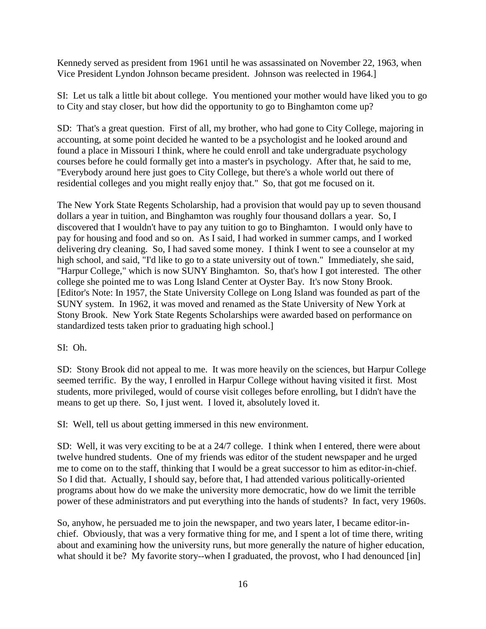Kennedy served as president from 1961 until he was assassinated on November 22, 1963, when Vice President Lyndon Johnson became president. Johnson was reelected in 1964.]

SI: Let us talk a little bit about college. You mentioned your mother would have liked you to go to City and stay closer, but how did the opportunity to go to Binghamton come up?

SD: That's a great question. First of all, my brother, who had gone to City College, majoring in accounting, at some point decided he wanted to be a psychologist and he looked around and found a place in Missouri I think, where he could enroll and take undergraduate psychology courses before he could formally get into a master's in psychology. After that, he said to me, "Everybody around here just goes to City College, but there's a whole world out there of residential colleges and you might really enjoy that." So, that got me focused on it.

The New York State Regents Scholarship, had a provision that would pay up to seven thousand dollars a year in tuition, and Binghamton was roughly four thousand dollars a year. So, I discovered that I wouldn't have to pay any tuition to go to Binghamton. I would only have to pay for housing and food and so on. As I said, I had worked in summer camps, and I worked delivering dry cleaning. So, I had saved some money. I think I went to see a counselor at my high school, and said, "I'd like to go to a state university out of town." Immediately, she said, "Harpur College," which is now SUNY Binghamton. So, that's how I got interested. The other college she pointed me to was Long Island Center at Oyster Bay. It's now Stony Brook. [Editor's Note: In 1957, the State University College on Long Island was founded as part of the SUNY system. In 1962, it was moved and renamed as the State University of New York at Stony Brook. New York State Regents Scholarships were awarded based on performance on standardized tests taken prior to graduating high school.]

### SI: Oh.

SD: Stony Brook did not appeal to me. It was more heavily on the sciences, but Harpur College seemed terrific. By the way, I enrolled in Harpur College without having visited it first. Most students, more privileged, would of course visit colleges before enrolling, but I didn't have the means to get up there. So, I just went. I loved it, absolutely loved it.

SI: Well, tell us about getting immersed in this new environment.

SD: Well, it was very exciting to be at a 24/7 college. I think when I entered, there were about twelve hundred students. One of my friends was editor of the student newspaper and he urged me to come on to the staff, thinking that I would be a great successor to him as editor-in-chief. So I did that. Actually, I should say, before that, I had attended various politically-oriented programs about how do we make the university more democratic, how do we limit the terrible power of these administrators and put everything into the hands of students? In fact, very 1960s.

So, anyhow, he persuaded me to join the newspaper, and two years later, I became editor-inchief. Obviously, that was a very formative thing for me, and I spent a lot of time there, writing about and examining how the university runs, but more generally the nature of higher education, what should it be? My favorite story--when I graduated, the provost, who I had denounced [in]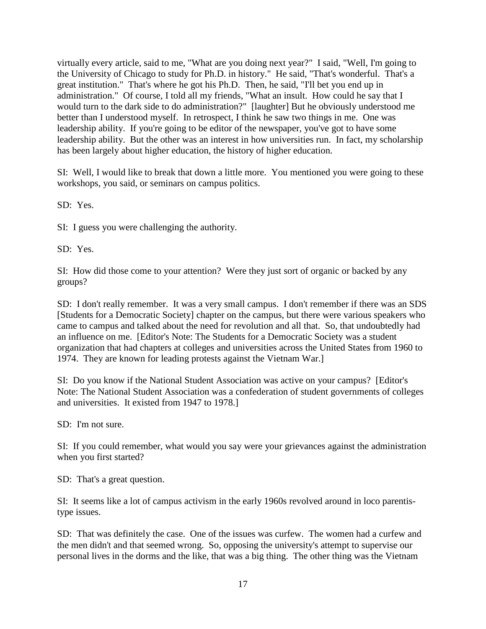virtually every article, said to me, "What are you doing next year?" I said, "Well, I'm going to the University of Chicago to study for Ph.D. in history." He said, "That's wonderful. That's a great institution." That's where he got his Ph.D. Then, he said, "I'll bet you end up in administration." Of course, I told all my friends, "What an insult. How could he say that I would turn to the dark side to do administration?" [laughter] But he obviously understood me better than I understood myself. In retrospect, I think he saw two things in me. One was leadership ability. If you're going to be editor of the newspaper, you've got to have some leadership ability. But the other was an interest in how universities run. In fact, my scholarship has been largely about higher education, the history of higher education.

SI: Well, I would like to break that down a little more. You mentioned you were going to these workshops, you said, or seminars on campus politics.

SD: Yes.

SI: I guess you were challenging the authority.

SD: Yes.

SI: How did those come to your attention? Were they just sort of organic or backed by any groups?

SD: I don't really remember. It was a very small campus. I don't remember if there was an SDS [Students for a Democratic Society] chapter on the campus, but there were various speakers who came to campus and talked about the need for revolution and all that. So, that undoubtedly had an influence on me. [Editor's Note: The Students for a Democratic Society was a student organization that had chapters at colleges and universities across the United States from 1960 to 1974. They are known for leading protests against the Vietnam War.]

SI: Do you know if the National Student Association was active on your campus? [Editor's Note: The National Student Association was a confederation of student governments of colleges and universities. It existed from 1947 to 1978.]

SD: I'm not sure.

SI: If you could remember, what would you say were your grievances against the administration when you first started?

SD: That's a great question.

SI: It seems like a lot of campus activism in the early 1960s revolved around in loco parentistype issues.

SD: That was definitely the case. One of the issues was curfew. The women had a curfew and the men didn't and that seemed wrong. So, opposing the university's attempt to supervise our personal lives in the dorms and the like, that was a big thing. The other thing was the Vietnam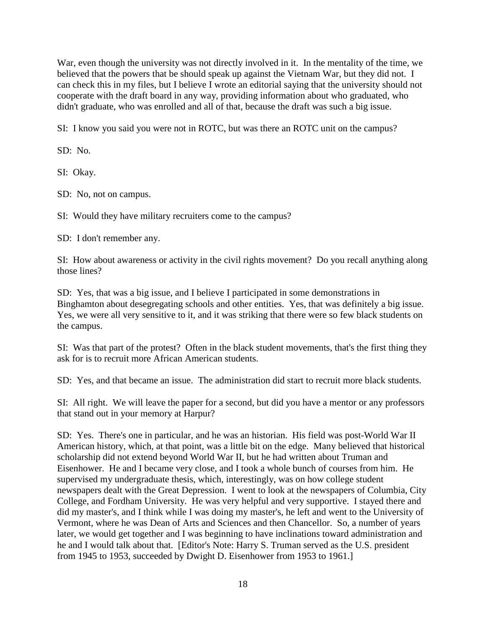War, even though the university was not directly involved in it. In the mentality of the time, we believed that the powers that be should speak up against the Vietnam War, but they did not. I can check this in my files, but I believe I wrote an editorial saying that the university should not cooperate with the draft board in any way, providing information about who graduated, who didn't graduate, who was enrolled and all of that, because the draft was such a big issue.

SI: I know you said you were not in ROTC, but was there an ROTC unit on the campus?

SD: No.

SI: Okay.

SD: No, not on campus.

SI: Would they have military recruiters come to the campus?

SD: I don't remember any.

SI: How about awareness or activity in the civil rights movement? Do you recall anything along those lines?

SD: Yes, that was a big issue, and I believe I participated in some demonstrations in Binghamton about desegregating schools and other entities. Yes, that was definitely a big issue. Yes, we were all very sensitive to it, and it was striking that there were so few black students on the campus.

SI: Was that part of the protest? Often in the black student movements, that's the first thing they ask for is to recruit more African American students.

SD: Yes, and that became an issue. The administration did start to recruit more black students.

SI: All right. We will leave the paper for a second, but did you have a mentor or any professors that stand out in your memory at Harpur?

SD: Yes. There's one in particular, and he was an historian. His field was post-World War II American history, which, at that point, was a little bit on the edge. Many believed that historical scholarship did not extend beyond World War II, but he had written about Truman and Eisenhower. He and I became very close, and I took a whole bunch of courses from him. He supervised my undergraduate thesis, which, interestingly, was on how college student newspapers dealt with the Great Depression. I went to look at the newspapers of Columbia, City College, and Fordham University. He was very helpful and very supportive. I stayed there and did my master's, and I think while I was doing my master's, he left and went to the University of Vermont, where he was Dean of Arts and Sciences and then Chancellor. So, a number of years later, we would get together and I was beginning to have inclinations toward administration and he and I would talk about that. [Editor's Note: Harry S. Truman served as the U.S. president from 1945 to 1953, succeeded by Dwight D. Eisenhower from 1953 to 1961.]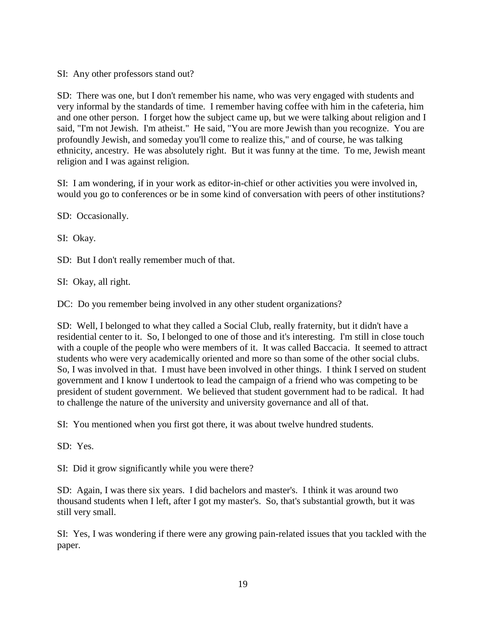SI: Any other professors stand out?

SD: There was one, but I don't remember his name, who was very engaged with students and very informal by the standards of time. I remember having coffee with him in the cafeteria, him and one other person. I forget how the subject came up, but we were talking about religion and I said, "I'm not Jewish. I'm atheist." He said, "You are more Jewish than you recognize. You are profoundly Jewish, and someday you'll come to realize this," and of course, he was talking ethnicity, ancestry. He was absolutely right. But it was funny at the time. To me, Jewish meant religion and I was against religion.

SI: I am wondering, if in your work as editor-in-chief or other activities you were involved in, would you go to conferences or be in some kind of conversation with peers of other institutions?

SD: Occasionally.

SI: Okay.

SD: But I don't really remember much of that.

SI: Okay, all right.

DC: Do you remember being involved in any other student organizations?

SD: Well, I belonged to what they called a Social Club, really fraternity, but it didn't have a residential center to it. So, I belonged to one of those and it's interesting. I'm still in close touch with a couple of the people who were members of it. It was called Baccacia. It seemed to attract students who were very academically oriented and more so than some of the other social clubs. So, I was involved in that. I must have been involved in other things. I think I served on student government and I know I undertook to lead the campaign of a friend who was competing to be president of student government. We believed that student government had to be radical. It had to challenge the nature of the university and university governance and all of that.

SI: You mentioned when you first got there, it was about twelve hundred students.

SD: Yes.

SI: Did it grow significantly while you were there?

SD: Again, I was there six years. I did bachelors and master's. I think it was around two thousand students when I left, after I got my master's. So, that's substantial growth, but it was still very small.

SI: Yes, I was wondering if there were any growing pain-related issues that you tackled with the paper.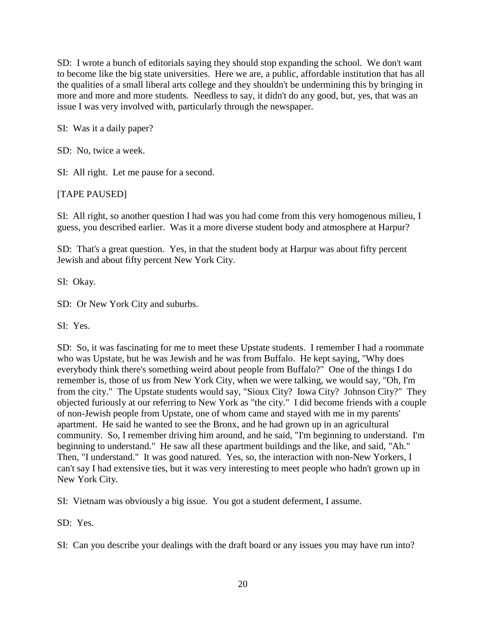SD: I wrote a bunch of editorials saying they should stop expanding the school. We don't want to become like the big state universities. Here we are, a public, affordable institution that has all the qualities of a small liberal arts college and they shouldn't be undermining this by bringing in more and more and more students. Needless to say, it didn't do any good, but, yes, that was an issue I was very involved with, particularly through the newspaper.

SI: Was it a daily paper?

SD: No, twice a week.

SI: All right. Let me pause for a second.

# [TAPE PAUSED]

SI: All right, so another question I had was you had come from this very homogenous milieu, I guess, you described earlier. Was it a more diverse student body and atmosphere at Harpur?

SD: That's a great question. Yes, in that the student body at Harpur was about fifty percent Jewish and about fifty percent New York City.

SI: Okay.

SD: Or New York City and suburbs.

SI: Yes.

SD: So, it was fascinating for me to meet these Upstate students. I remember I had a roommate who was Upstate, but he was Jewish and he was from Buffalo. He kept saying, "Why does everybody think there's something weird about people from Buffalo?" One of the things I do remember is, those of us from New York City, when we were talking, we would say, "Oh, I'm from the city." The Upstate students would say, "Sioux City? Iowa City? Johnson City?" They objected furiously at our referring to New York as "the city." I did become friends with a couple of non-Jewish people from Upstate, one of whom came and stayed with me in my parents' apartment. He said he wanted to see the Bronx, and he had grown up in an agricultural community. So, I remember driving him around, and he said, "I'm beginning to understand. I'm beginning to understand." He saw all these apartment buildings and the like, and said, "Ah." Then, "I understand." It was good natured. Yes, so, the interaction with non-New Yorkers, I can't say I had extensive ties, but it was very interesting to meet people who hadn't grown up in New York City.

SI: Vietnam was obviously a big issue. You got a student deferment, I assume.

SD: Yes.

SI: Can you describe your dealings with the draft board or any issues you may have run into?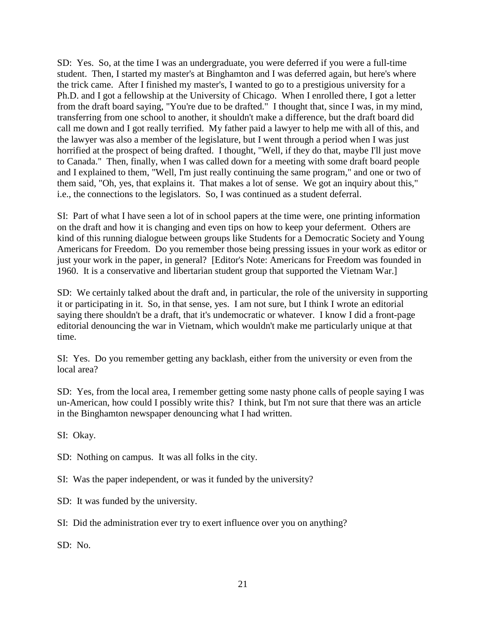SD: Yes. So, at the time I was an undergraduate, you were deferred if you were a full-time student. Then, I started my master's at Binghamton and I was deferred again, but here's where the trick came. After I finished my master's, I wanted to go to a prestigious university for a Ph.D. and I got a fellowship at the University of Chicago. When I enrolled there, I got a letter from the draft board saying, "You're due to be drafted." I thought that, since I was, in my mind, transferring from one school to another, it shouldn't make a difference, but the draft board did call me down and I got really terrified. My father paid a lawyer to help me with all of this, and the lawyer was also a member of the legislature, but I went through a period when I was just horrified at the prospect of being drafted. I thought, "Well, if they do that, maybe I'll just move to Canada." Then, finally, when I was called down for a meeting with some draft board people and I explained to them, "Well, I'm just really continuing the same program," and one or two of them said, "Oh, yes, that explains it. That makes a lot of sense. We got an inquiry about this," i.e., the connections to the legislators. So, I was continued as a student deferral.

SI: Part of what I have seen a lot of in school papers at the time were, one printing information on the draft and how it is changing and even tips on how to keep your deferment. Others are kind of this running dialogue between groups like Students for a Democratic Society and Young Americans for Freedom. Do you remember those being pressing issues in your work as editor or just your work in the paper, in general? [Editor's Note: Americans for Freedom was founded in 1960. It is a conservative and libertarian student group that supported the Vietnam War.]

SD: We certainly talked about the draft and, in particular, the role of the university in supporting it or participating in it. So, in that sense, yes. I am not sure, but I think I wrote an editorial saying there shouldn't be a draft, that it's undemocratic or whatever. I know I did a front-page editorial denouncing the war in Vietnam, which wouldn't make me particularly unique at that time.

SI: Yes. Do you remember getting any backlash, either from the university or even from the local area?

SD: Yes, from the local area, I remember getting some nasty phone calls of people saying I was un-American, how could I possibly write this? I think, but I'm not sure that there was an article in the Binghamton newspaper denouncing what I had written.

SI: Okay.

SD: Nothing on campus. It was all folks in the city.

SI: Was the paper independent, or was it funded by the university?

SD: It was funded by the university.

SI: Did the administration ever try to exert influence over you on anything?

SD: No.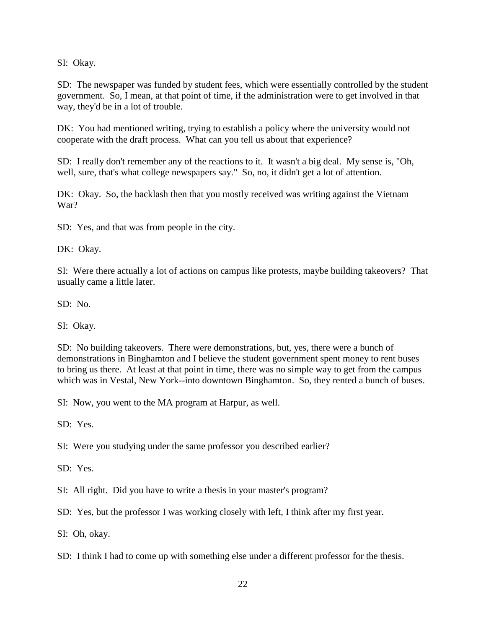SI: Okay.

SD: The newspaper was funded by student fees, which were essentially controlled by the student government. So, I mean, at that point of time, if the administration were to get involved in that way, they'd be in a lot of trouble.

DK: You had mentioned writing, trying to establish a policy where the university would not cooperate with the draft process. What can you tell us about that experience?

SD: I really don't remember any of the reactions to it. It wasn't a big deal. My sense is, "Oh, well, sure, that's what college newspapers say." So, no, it didn't get a lot of attention.

DK: Okay. So, the backlash then that you mostly received was writing against the Vietnam War?

SD: Yes, and that was from people in the city.

DK: Okay.

SI: Were there actually a lot of actions on campus like protests, maybe building takeovers? That usually came a little later.

SD: No.

SI: Okay.

SD: No building takeovers. There were demonstrations, but, yes, there were a bunch of demonstrations in Binghamton and I believe the student government spent money to rent buses to bring us there. At least at that point in time, there was no simple way to get from the campus which was in Vestal, New York--into downtown Binghamton. So, they rented a bunch of buses.

SI: Now, you went to the MA program at Harpur, as well.

SD: Yes.

SI: Were you studying under the same professor you described earlier?

SD: Yes.

SI: All right. Did you have to write a thesis in your master's program?

SD: Yes, but the professor I was working closely with left, I think after my first year.

SI: Oh, okay.

SD: I think I had to come up with something else under a different professor for the thesis.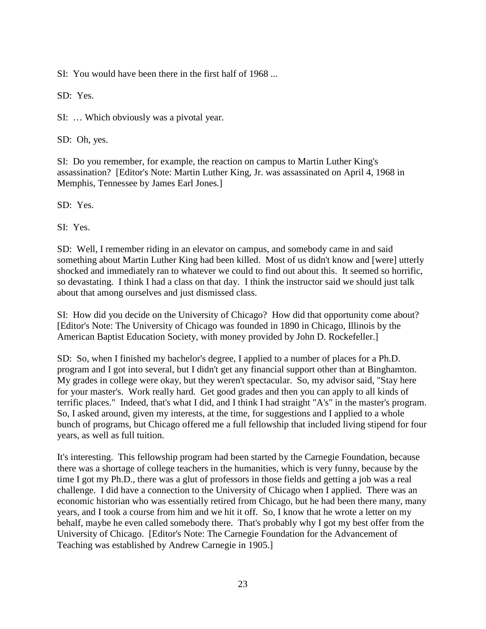SI: You would have been there in the first half of 1968 ...

SD: Yes.

SI: … Which obviously was a pivotal year.

SD: Oh, yes.

SI: Do you remember, for example, the reaction on campus to Martin Luther King's assassination? [Editor's Note: Martin Luther King, Jr. was assassinated on April 4, 1968 in Memphis, Tennessee by James Earl Jones.]

SD: Yes.

SI: Yes.

SD: Well, I remember riding in an elevator on campus, and somebody came in and said something about Martin Luther King had been killed. Most of us didn't know and [were] utterly shocked and immediately ran to whatever we could to find out about this. It seemed so horrific, so devastating. I think I had a class on that day. I think the instructor said we should just talk about that among ourselves and just dismissed class.

SI: How did you decide on the University of Chicago? How did that opportunity come about? [Editor's Note: The University of Chicago was founded in 1890 in Chicago, Illinois by the American Baptist Education Society, with money provided by John D. Rockefeller.]

SD: So, when I finished my bachelor's degree, I applied to a number of places for a Ph.D. program and I got into several, but I didn't get any financial support other than at Binghamton. My grades in college were okay, but they weren't spectacular. So, my advisor said, "Stay here for your master's. Work really hard. Get good grades and then you can apply to all kinds of terrific places." Indeed, that's what I did, and I think I had straight "A's" in the master's program. So, I asked around, given my interests, at the time, for suggestions and I applied to a whole bunch of programs, but Chicago offered me a full fellowship that included living stipend for four years, as well as full tuition.

It's interesting. This fellowship program had been started by the Carnegie Foundation, because there was a shortage of college teachers in the humanities, which is very funny, because by the time I got my Ph.D., there was a glut of professors in those fields and getting a job was a real challenge. I did have a connection to the University of Chicago when I applied. There was an economic historian who was essentially retired from Chicago, but he had been there many, many years, and I took a course from him and we hit it off. So, I know that he wrote a letter on my behalf, maybe he even called somebody there. That's probably why I got my best offer from the University of Chicago. [Editor's Note: The Carnegie Foundation for the Advancement of Teaching was established by Andrew Carnegie in 1905.]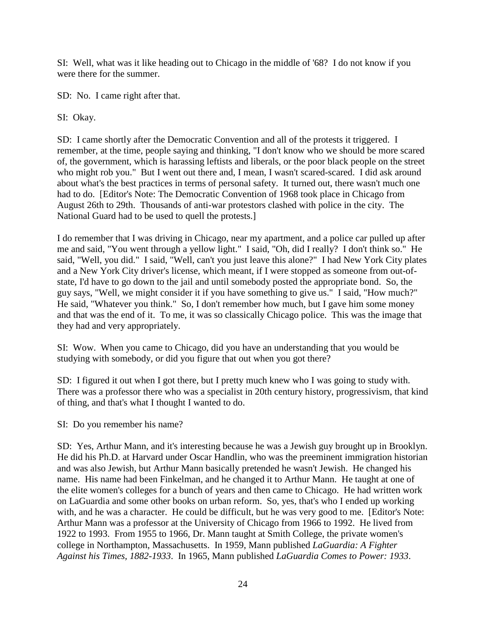SI: Well, what was it like heading out to Chicago in the middle of '68? I do not know if you were there for the summer.

SD: No. I came right after that.

SI: Okay.

SD: I came shortly after the Democratic Convention and all of the protests it triggered. I remember, at the time, people saying and thinking, "I don't know who we should be more scared of, the government, which is harassing leftists and liberals, or the poor black people on the street who might rob you." But I went out there and, I mean, I wasn't scared-scared. I did ask around about what's the best practices in terms of personal safety. It turned out, there wasn't much one had to do. [Editor's Note: The Democratic Convention of 1968 took place in Chicago from August 26th to 29th. Thousands of anti-war protestors clashed with police in the city. The National Guard had to be used to quell the protests.]

I do remember that I was driving in Chicago, near my apartment, and a police car pulled up after me and said, "You went through a yellow light." I said, "Oh, did I really? I don't think so." He said, "Well, you did." I said, "Well, can't you just leave this alone?" I had New York City plates and a New York City driver's license, which meant, if I were stopped as someone from out-ofstate, I'd have to go down to the jail and until somebody posted the appropriate bond. So, the guy says, "Well, we might consider it if you have something to give us." I said, "How much?" He said, "Whatever you think." So, I don't remember how much, but I gave him some money and that was the end of it. To me, it was so classically Chicago police. This was the image that they had and very appropriately.

SI: Wow. When you came to Chicago, did you have an understanding that you would be studying with somebody, or did you figure that out when you got there?

SD: I figured it out when I got there, but I pretty much knew who I was going to study with. There was a professor there who was a specialist in 20th century history, progressivism, that kind of thing, and that's what I thought I wanted to do.

SI: Do you remember his name?

SD: Yes, Arthur Mann, and it's interesting because he was a Jewish guy brought up in Brooklyn. He did his Ph.D. at Harvard under Oscar Handlin, who was the preeminent immigration historian and was also Jewish, but Arthur Mann basically pretended he wasn't Jewish. He changed his name. His name had been Finkelman, and he changed it to Arthur Mann. He taught at one of the elite women's colleges for a bunch of years and then came to Chicago. He had written work on LaGuardia and some other books on urban reform. So, yes, that's who I ended up working with, and he was a character. He could be difficult, but he was very good to me. [Editor's Note: Arthur Mann was a professor at the University of Chicago from 1966 to 1992. He lived from 1922 to 1993. From 1955 to 1966, Dr. Mann taught at Smith College, the private women's college in Northampton, Massachusetts. In 1959, Mann published *LaGuardia: A Fighter Against his Times, 1882-1933*. In 1965, Mann published *LaGuardia Comes to Power: 1933*.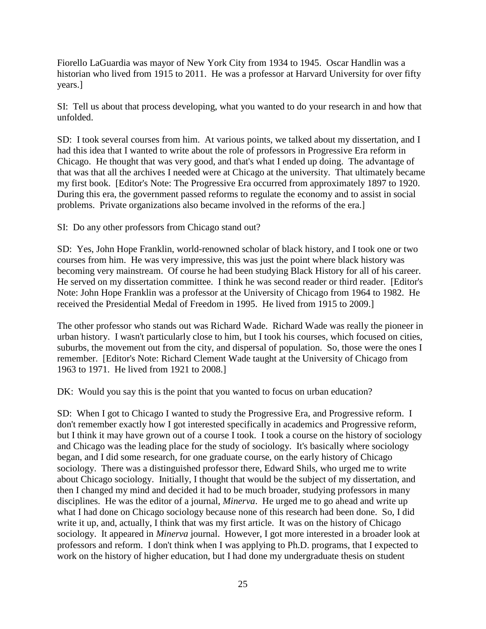Fiorello LaGuardia was mayor of New York City from 1934 to 1945. Oscar Handlin was a historian who lived from 1915 to 2011. He was a professor at Harvard University for over fifty years.]

SI: Tell us about that process developing, what you wanted to do your research in and how that unfolded.

SD: I took several courses from him. At various points, we talked about my dissertation, and I had this idea that I wanted to write about the role of professors in Progressive Era reform in Chicago. He thought that was very good, and that's what I ended up doing. The advantage of that was that all the archives I needed were at Chicago at the university. That ultimately became my first book. [Editor's Note: The Progressive Era occurred from approximately 1897 to 1920. During this era, the government passed reforms to regulate the economy and to assist in social problems. Private organizations also became involved in the reforms of the era.]

SI: Do any other professors from Chicago stand out?

SD: Yes, John Hope Franklin, world-renowned scholar of black history, and I took one or two courses from him. He was very impressive, this was just the point where black history was becoming very mainstream. Of course he had been studying Black History for all of his career. He served on my dissertation committee. I think he was second reader or third reader. [Editor's Note: John Hope Franklin was a professor at the University of Chicago from 1964 to 1982. He received the Presidential Medal of Freedom in 1995. He lived from 1915 to 2009.]

The other professor who stands out was Richard Wade. Richard Wade was really the pioneer in urban history. I wasn't particularly close to him, but I took his courses, which focused on cities, suburbs, the movement out from the city, and dispersal of population. So, those were the ones I remember. [Editor's Note: Richard Clement Wade taught at the University of Chicago from 1963 to 1971. He lived from 1921 to 2008.]

DK: Would you say this is the point that you wanted to focus on urban education?

SD: When I got to Chicago I wanted to study the Progressive Era, and Progressive reform. I don't remember exactly how I got interested specifically in academics and Progressive reform, but I think it may have grown out of a course I took. I took a course on the history of sociology and Chicago was the leading place for the study of sociology. It's basically where sociology began, and I did some research, for one graduate course, on the early history of Chicago sociology. There was a distinguished professor there, Edward Shils, who urged me to write about Chicago sociology. Initially, I thought that would be the subject of my dissertation, and then I changed my mind and decided it had to be much broader, studying professors in many disciplines. He was the editor of a journal, *Minerva*. He urged me to go ahead and write up what I had done on Chicago sociology because none of this research had been done. So, I did write it up, and, actually, I think that was my first article. It was on the history of Chicago sociology. It appeared in *Minerva* journal. However, I got more interested in a broader look at professors and reform. I don't think when I was applying to Ph.D. programs, that I expected to work on the history of higher education, but I had done my undergraduate thesis on student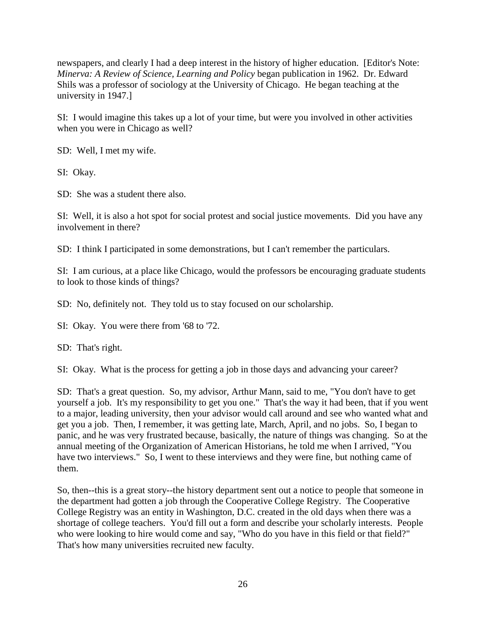newspapers, and clearly I had a deep interest in the history of higher education. [Editor's Note: *Minerva: A Review of Science, Learning and Policy* began publication in 1962. Dr. Edward Shils was a professor of sociology at the University of Chicago. He began teaching at the university in 1947.]

SI: I would imagine this takes up a lot of your time, but were you involved in other activities when you were in Chicago as well?

SD: Well, I met my wife.

SI: Okay.

SD: She was a student there also.

SI: Well, it is also a hot spot for social protest and social justice movements. Did you have any involvement in there?

SD: I think I participated in some demonstrations, but I can't remember the particulars.

SI: I am curious, at a place like Chicago, would the professors be encouraging graduate students to look to those kinds of things?

SD: No, definitely not. They told us to stay focused on our scholarship.

SI: Okay. You were there from '68 to '72.

SD: That's right.

SI: Okay. What is the process for getting a job in those days and advancing your career?

SD: That's a great question. So, my advisor, Arthur Mann, said to me, "You don't have to get yourself a job. It's my responsibility to get you one." That's the way it had been, that if you went to a major, leading university, then your advisor would call around and see who wanted what and get you a job. Then, I remember, it was getting late, March, April, and no jobs. So, I began to panic, and he was very frustrated because, basically, the nature of things was changing. So at the annual meeting of the Organization of American Historians, he told me when I arrived, "You have two interviews." So, I went to these interviews and they were fine, but nothing came of them.

So, then--this is a great story--the history department sent out a notice to people that someone in the department had gotten a job through the Cooperative College Registry. The Cooperative College Registry was an entity in Washington, D.C. created in the old days when there was a shortage of college teachers. You'd fill out a form and describe your scholarly interests. People who were looking to hire would come and say, "Who do you have in this field or that field?" That's how many universities recruited new faculty.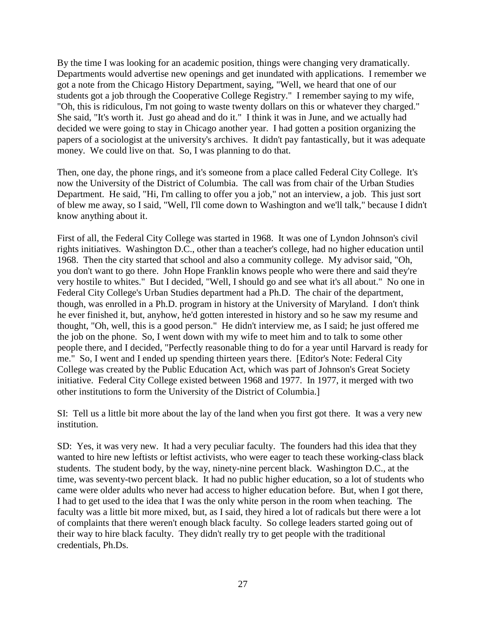By the time I was looking for an academic position, things were changing very dramatically. Departments would advertise new openings and get inundated with applications. I remember we got a note from the Chicago History Department, saying, "Well, we heard that one of our students got a job through the Cooperative College Registry." I remember saying to my wife, "Oh, this is ridiculous, I'm not going to waste twenty dollars on this or whatever they charged." She said, "It's worth it. Just go ahead and do it." I think it was in June, and we actually had decided we were going to stay in Chicago another year. I had gotten a position organizing the papers of a sociologist at the university's archives. It didn't pay fantastically, but it was adequate money. We could live on that. So, I was planning to do that.

Then, one day, the phone rings, and it's someone from a place called Federal City College. It's now the University of the District of Columbia. The call was from chair of the Urban Studies Department. He said, "Hi, I'm calling to offer you a job," not an interview, a job. This just sort of blew me away, so I said, "Well, I'll come down to Washington and we'll talk," because I didn't know anything about it.

First of all, the Federal City College was started in 1968. It was one of Lyndon Johnson's civil rights initiatives. Washington D.C., other than a teacher's college, had no higher education until 1968. Then the city started that school and also a community college. My advisor said, "Oh, you don't want to go there. John Hope Franklin knows people who were there and said they're very hostile to whites." But I decided, "Well, I should go and see what it's all about." No one in Federal City College's Urban Studies department had a Ph.D. The chair of the department, though, was enrolled in a Ph.D. program in history at the University of Maryland. I don't think he ever finished it, but, anyhow, he'd gotten interested in history and so he saw my resume and thought, "Oh, well, this is a good person." He didn't interview me, as I said; he just offered me the job on the phone. So, I went down with my wife to meet him and to talk to some other people there, and I decided, "Perfectly reasonable thing to do for a year until Harvard is ready for me." So, I went and I ended up spending thirteen years there. [Editor's Note: Federal City College was created by the Public Education Act, which was part of Johnson's Great Society initiative. Federal City College existed between 1968 and 1977. In 1977, it merged with two other institutions to form the University of the District of Columbia.]

SI: Tell us a little bit more about the lay of the land when you first got there. It was a very new institution.

SD: Yes, it was very new. It had a very peculiar faculty. The founders had this idea that they wanted to hire new leftists or leftist activists, who were eager to teach these working-class black students. The student body, by the way, ninety-nine percent black. Washington D.C., at the time, was seventy-two percent black. It had no public higher education, so a lot of students who came were older adults who never had access to higher education before. But, when I got there, I had to get used to the idea that I was the only white person in the room when teaching. The faculty was a little bit more mixed, but, as I said, they hired a lot of radicals but there were a lot of complaints that there weren't enough black faculty. So college leaders started going out of their way to hire black faculty. They didn't really try to get people with the traditional credentials, Ph.Ds.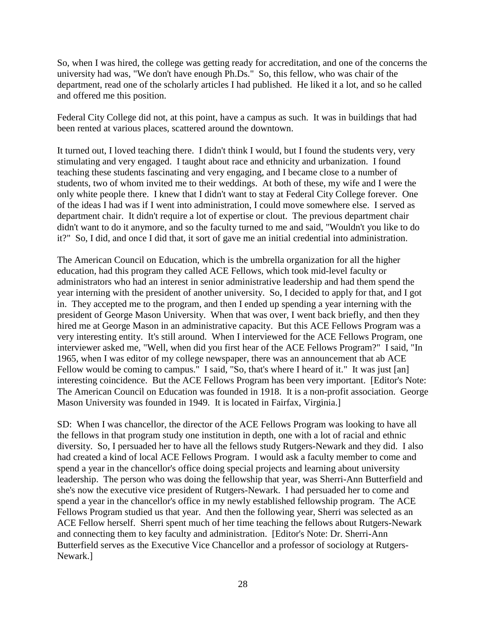So, when I was hired, the college was getting ready for accreditation, and one of the concerns the university had was, "We don't have enough Ph.Ds." So, this fellow, who was chair of the department, read one of the scholarly articles I had published. He liked it a lot, and so he called and offered me this position.

Federal City College did not, at this point, have a campus as such. It was in buildings that had been rented at various places, scattered around the downtown.

It turned out, I loved teaching there. I didn't think I would, but I found the students very, very stimulating and very engaged. I taught about race and ethnicity and urbanization. I found teaching these students fascinating and very engaging, and I became close to a number of students, two of whom invited me to their weddings. At both of these, my wife and I were the only white people there. I knew that I didn't want to stay at Federal City College forever. One of the ideas I had was if I went into administration, I could move somewhere else. I served as department chair. It didn't require a lot of expertise or clout. The previous department chair didn't want to do it anymore, and so the faculty turned to me and said, "Wouldn't you like to do it?" So, I did, and once I did that, it sort of gave me an initial credential into administration.

The American Council on Education, which is the umbrella organization for all the higher education, had this program they called ACE Fellows, which took mid-level faculty or administrators who had an interest in senior administrative leadership and had them spend the year interning with the president of another university. So, I decided to apply for that, and I got in. They accepted me to the program, and then I ended up spending a year interning with the president of George Mason University. When that was over, I went back briefly, and then they hired me at George Mason in an administrative capacity. But this ACE Fellows Program was a very interesting entity. It's still around. When I interviewed for the ACE Fellows Program, one interviewer asked me, "Well, when did you first hear of the ACE Fellows Program?" I said, "In 1965, when I was editor of my college newspaper, there was an announcement that ab ACE Fellow would be coming to campus." I said, "So, that's where I heard of it." It was just [an] interesting coincidence. But the ACE Fellows Program has been very important. [Editor's Note: The American Council on Education was founded in 1918. It is a non-profit association. George Mason University was founded in 1949. It is located in Fairfax, Virginia.]

SD: When I was chancellor, the director of the ACE Fellows Program was looking to have all the fellows in that program study one institution in depth, one with a lot of racial and ethnic diversity. So, I persuaded her to have all the fellows study Rutgers-Newark and they did. I also had created a kind of local ACE Fellows Program. I would ask a faculty member to come and spend a year in the chancellor's office doing special projects and learning about university leadership. The person who was doing the fellowship that year, was Sherri-Ann Butterfield and she's now the executive vice president of Rutgers-Newark. I had persuaded her to come and spend a year in the chancellor's office in my newly established fellowship program. The ACE Fellows Program studied us that year. And then the following year, Sherri was selected as an ACE Fellow herself. Sherri spent much of her time teaching the fellows about Rutgers-Newark and connecting them to key faculty and administration. [Editor's Note: Dr. Sherri-Ann Butterfield serves as the Executive Vice Chancellor and a professor of sociology at Rutgers-Newark.]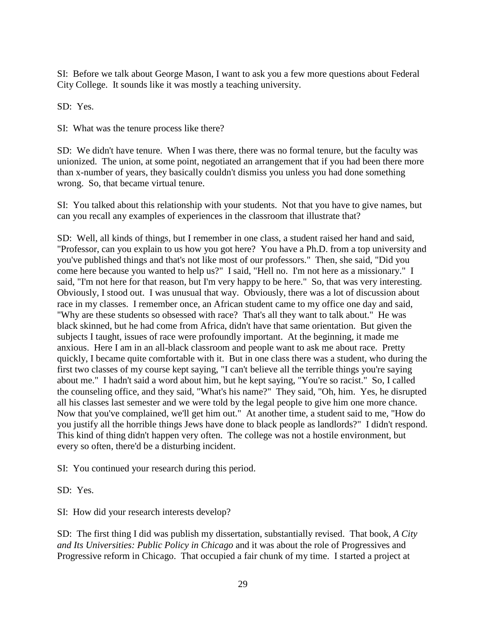SI: Before we talk about George Mason, I want to ask you a few more questions about Federal City College. It sounds like it was mostly a teaching university.

SD: Yes.

SI: What was the tenure process like there?

SD: We didn't have tenure. When I was there, there was no formal tenure, but the faculty was unionized. The union, at some point, negotiated an arrangement that if you had been there more than x-number of years, they basically couldn't dismiss you unless you had done something wrong. So, that became virtual tenure.

SI: You talked about this relationship with your students. Not that you have to give names, but can you recall any examples of experiences in the classroom that illustrate that?

SD: Well, all kinds of things, but I remember in one class, a student raised her hand and said, "Professor, can you explain to us how you got here? You have a Ph.D. from a top university and you've published things and that's not like most of our professors." Then, she said, "Did you come here because you wanted to help us?" I said, "Hell no. I'm not here as a missionary." I said, "I'm not here for that reason, but I'm very happy to be here." So, that was very interesting. Obviously, I stood out. I was unusual that way. Obviously, there was a lot of discussion about race in my classes. I remember once, an African student came to my office one day and said, "Why are these students so obsessed with race? That's all they want to talk about." He was black skinned, but he had come from Africa, didn't have that same orientation. But given the subjects I taught, issues of race were profoundly important. At the beginning, it made me anxious. Here I am in an all-black classroom and people want to ask me about race. Pretty quickly, I became quite comfortable with it. But in one class there was a student, who during the first two classes of my course kept saying, "I can't believe all the terrible things you're saying about me." I hadn't said a word about him, but he kept saying, "You're so racist." So, I called the counseling office, and they said, "What's his name?" They said, "Oh, him. Yes, he disrupted all his classes last semester and we were told by the legal people to give him one more chance. Now that you've complained, we'll get him out." At another time, a student said to me, "How do you justify all the horrible things Jews have done to black people as landlords?" I didn't respond. This kind of thing didn't happen very often. The college was not a hostile environment, but every so often, there'd be a disturbing incident.

SI: You continued your research during this period.

SD: Yes.

SI: How did your research interests develop?

SD: The first thing I did was publish my dissertation, substantially revised. That book, *A City and Its Universities: Public Policy in Chicago* and it was about the role of Progressives and Progressive reform in Chicago. That occupied a fair chunk of my time. I started a project at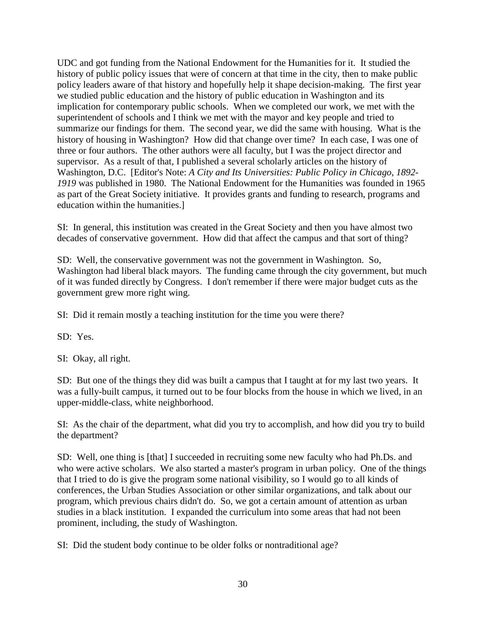UDC and got funding from the National Endowment for the Humanities for it. It studied the history of public policy issues that were of concern at that time in the city, then to make public policy leaders aware of that history and hopefully help it shape decision-making. The first year we studied public education and the history of public education in Washington and its implication for contemporary public schools. When we completed our work, we met with the superintendent of schools and I think we met with the mayor and key people and tried to summarize our findings for them. The second year, we did the same with housing. What is the history of housing in Washington? How did that change over time? In each case, I was one of three or four authors. The other authors were all faculty, but I was the project director and supervisor. As a result of that, I published a several scholarly articles on the history of Washington, D.C. [Editor's Note: *A City and Its Universities: Public Policy in Chicago, 1892- 1919* was published in 1980. The National Endowment for the Humanities was founded in 1965 as part of the Great Society initiative. It provides grants and funding to research, programs and education within the humanities.]

SI: In general, this institution was created in the Great Society and then you have almost two decades of conservative government. How did that affect the campus and that sort of thing?

SD: Well, the conservative government was not the government in Washington. So, Washington had liberal black mayors. The funding came through the city government, but much of it was funded directly by Congress. I don't remember if there were major budget cuts as the government grew more right wing.

SI: Did it remain mostly a teaching institution for the time you were there?

SD: Yes.

SI: Okay, all right.

SD: But one of the things they did was built a campus that I taught at for my last two years. It was a fully-built campus, it turned out to be four blocks from the house in which we lived, in an upper-middle-class, white neighborhood.

SI: As the chair of the department, what did you try to accomplish, and how did you try to build the department?

SD: Well, one thing is [that] I succeeded in recruiting some new faculty who had Ph.Ds. and who were active scholars. We also started a master's program in urban policy. One of the things that I tried to do is give the program some national visibility, so I would go to all kinds of conferences, the Urban Studies Association or other similar organizations, and talk about our program, which previous chairs didn't do. So, we got a certain amount of attention as urban studies in a black institution. I expanded the curriculum into some areas that had not been prominent, including, the study of Washington.

SI: Did the student body continue to be older folks or nontraditional age?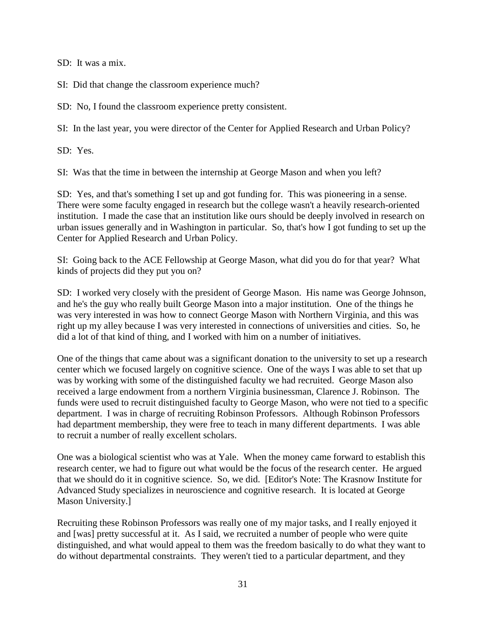SD: It was a mix.

SI: Did that change the classroom experience much?

SD: No, I found the classroom experience pretty consistent.

SI: In the last year, you were director of the Center for Applied Research and Urban Policy?

SD: Yes.

SI: Was that the time in between the internship at George Mason and when you left?

SD: Yes, and that's something I set up and got funding for. This was pioneering in a sense. There were some faculty engaged in research but the college wasn't a heavily research-oriented institution. I made the case that an institution like ours should be deeply involved in research on urban issues generally and in Washington in particular. So, that's how I got funding to set up the Center for Applied Research and Urban Policy.

SI: Going back to the ACE Fellowship at George Mason, what did you do for that year? What kinds of projects did they put you on?

SD: I worked very closely with the president of George Mason. His name was George Johnson, and he's the guy who really built George Mason into a major institution. One of the things he was very interested in was how to connect George Mason with Northern Virginia, and this was right up my alley because I was very interested in connections of universities and cities. So, he did a lot of that kind of thing, and I worked with him on a number of initiatives.

One of the things that came about was a significant donation to the university to set up a research center which we focused largely on cognitive science. One of the ways I was able to set that up was by working with some of the distinguished faculty we had recruited. George Mason also received a large endowment from a northern Virginia businessman, Clarence J. Robinson. The funds were used to recruit distinguished faculty to George Mason, who were not tied to a specific department. I was in charge of recruiting Robinson Professors. Although Robinson Professors had department membership, they were free to teach in many different departments. I was able to recruit a number of really excellent scholars.

One was a biological scientist who was at Yale. When the money came forward to establish this research center, we had to figure out what would be the focus of the research center. He argued that we should do it in cognitive science. So, we did. [Editor's Note: The Krasnow Institute for Advanced Study specializes in neuroscience and cognitive research. It is located at George Mason University.]

Recruiting these Robinson Professors was really one of my major tasks, and I really enjoyed it and [was] pretty successful at it. As I said, we recruited a number of people who were quite distinguished, and what would appeal to them was the freedom basically to do what they want to do without departmental constraints. They weren't tied to a particular department, and they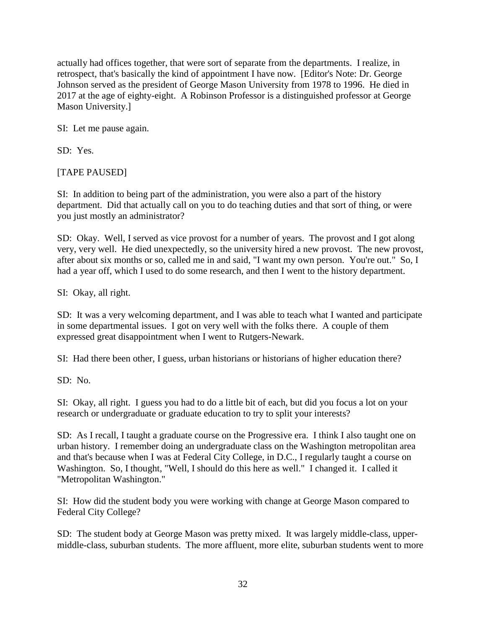actually had offices together, that were sort of separate from the departments. I realize, in retrospect, that's basically the kind of appointment I have now. [Editor's Note: Dr. George Johnson served as the president of George Mason University from 1978 to 1996. He died in 2017 at the age of eighty-eight. A Robinson Professor is a distinguished professor at George Mason University.]

SI: Let me pause again.

SD: Yes.

[TAPE PAUSED]

SI: In addition to being part of the administration, you were also a part of the history department. Did that actually call on you to do teaching duties and that sort of thing, or were you just mostly an administrator?

SD: Okay. Well, I served as vice provost for a number of years. The provost and I got along very, very well. He died unexpectedly, so the university hired a new provost. The new provost, after about six months or so, called me in and said, "I want my own person. You're out." So, I had a year off, which I used to do some research, and then I went to the history department.

SI: Okay, all right.

SD: It was a very welcoming department, and I was able to teach what I wanted and participate in some departmental issues. I got on very well with the folks there. A couple of them expressed great disappointment when I went to Rutgers-Newark.

SI: Had there been other, I guess, urban historians or historians of higher education there?

SD: No.

SI: Okay, all right. I guess you had to do a little bit of each, but did you focus a lot on your research or undergraduate or graduate education to try to split your interests?

SD: As I recall, I taught a graduate course on the Progressive era. I think I also taught one on urban history. I remember doing an undergraduate class on the Washington metropolitan area and that's because when I was at Federal City College, in D.C., I regularly taught a course on Washington. So, I thought, "Well, I should do this here as well." I changed it. I called it "Metropolitan Washington."

SI: How did the student body you were working with change at George Mason compared to Federal City College?

SD: The student body at George Mason was pretty mixed. It was largely middle-class, uppermiddle-class, suburban students. The more affluent, more elite, suburban students went to more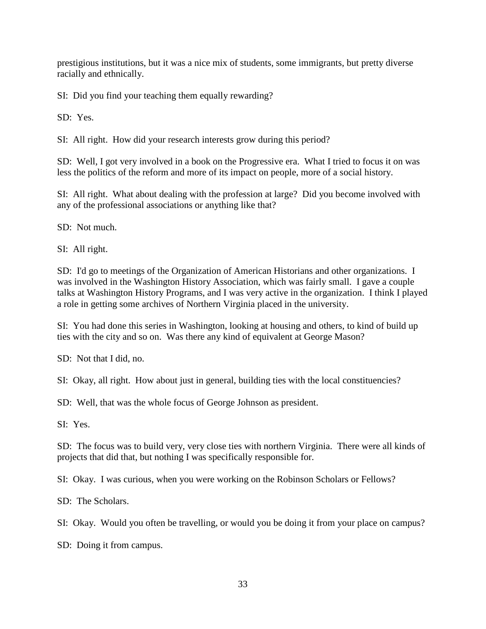prestigious institutions, but it was a nice mix of students, some immigrants, but pretty diverse racially and ethnically.

SI: Did you find your teaching them equally rewarding?

SD: Yes.

SI: All right. How did your research interests grow during this period?

SD: Well, I got very involved in a book on the Progressive era. What I tried to focus it on was less the politics of the reform and more of its impact on people, more of a social history.

SI: All right. What about dealing with the profession at large? Did you become involved with any of the professional associations or anything like that?

SD: Not much.

SI: All right.

SD: I'd go to meetings of the Organization of American Historians and other organizations. I was involved in the Washington History Association, which was fairly small. I gave a couple talks at Washington History Programs, and I was very active in the organization. I think I played a role in getting some archives of Northern Virginia placed in the university.

SI: You had done this series in Washington, looking at housing and others, to kind of build up ties with the city and so on. Was there any kind of equivalent at George Mason?

SD: Not that I did, no.

SI: Okay, all right. How about just in general, building ties with the local constituencies?

SD: Well, that was the whole focus of George Johnson as president.

SI: Yes.

SD: The focus was to build very, very close ties with northern Virginia. There were all kinds of projects that did that, but nothing I was specifically responsible for.

SI: Okay. I was curious, when you were working on the Robinson Scholars or Fellows?

SD: The Scholars.

SI: Okay. Would you often be travelling, or would you be doing it from your place on campus?

SD: Doing it from campus.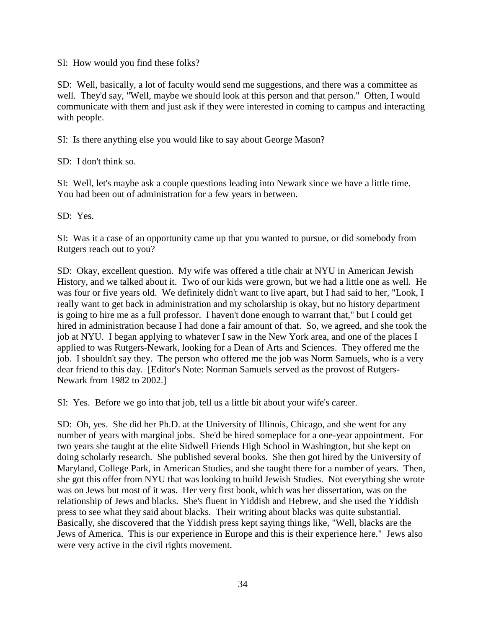SI: How would you find these folks?

SD: Well, basically, a lot of faculty would send me suggestions, and there was a committee as well. They'd say, "Well, maybe we should look at this person and that person." Often, I would communicate with them and just ask if they were interested in coming to campus and interacting with people.

SI: Is there anything else you would like to say about George Mason?

SD: I don't think so.

SI: Well, let's maybe ask a couple questions leading into Newark since we have a little time. You had been out of administration for a few years in between.

SD: Yes.

SI: Was it a case of an opportunity came up that you wanted to pursue, or did somebody from Rutgers reach out to you?

SD: Okay, excellent question. My wife was offered a title chair at NYU in American Jewish History, and we talked about it. Two of our kids were grown, but we had a little one as well. He was four or five years old. We definitely didn't want to live apart, but I had said to her, "Look, I really want to get back in administration and my scholarship is okay, but no history department is going to hire me as a full professor. I haven't done enough to warrant that," but I could get hired in administration because I had done a fair amount of that. So, we agreed, and she took the job at NYU. I began applying to whatever I saw in the New York area, and one of the places I applied to was Rutgers-Newark, looking for a Dean of Arts and Sciences. They offered me the job. I shouldn't say they. The person who offered me the job was Norm Samuels, who is a very dear friend to this day. [Editor's Note: Norman Samuels served as the provost of Rutgers-Newark from 1982 to 2002.]

SI: Yes. Before we go into that job, tell us a little bit about your wife's career.

SD: Oh, yes. She did her Ph.D. at the University of Illinois, Chicago, and she went for any number of years with marginal jobs. She'd be hired someplace for a one-year appointment. For two years she taught at the elite Sidwell Friends High School in Washington, but she kept on doing scholarly research. She published several books. She then got hired by the University of Maryland, College Park, in American Studies, and she taught there for a number of years. Then, she got this offer from NYU that was looking to build Jewish Studies. Not everything she wrote was on Jews but most of it was. Her very first book, which was her dissertation, was on the relationship of Jews and blacks. She's fluent in Yiddish and Hebrew, and she used the Yiddish press to see what they said about blacks. Their writing about blacks was quite substantial. Basically, she discovered that the Yiddish press kept saying things like, "Well, blacks are the Jews of America. This is our experience in Europe and this is their experience here." Jews also were very active in the civil rights movement.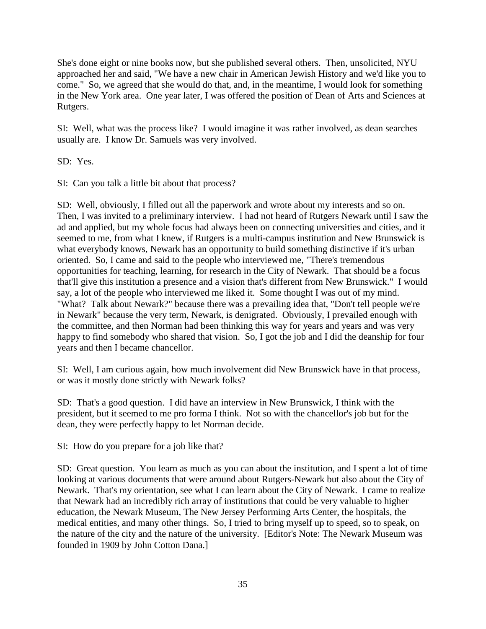She's done eight or nine books now, but she published several others. Then, unsolicited, NYU approached her and said, "We have a new chair in American Jewish History and we'd like you to come." So, we agreed that she would do that, and, in the meantime, I would look for something in the New York area. One year later, I was offered the position of Dean of Arts and Sciences at Rutgers.

SI: Well, what was the process like? I would imagine it was rather involved, as dean searches usually are. I know Dr. Samuels was very involved.

SD: Yes.

SI: Can you talk a little bit about that process?

SD: Well, obviously, I filled out all the paperwork and wrote about my interests and so on. Then, I was invited to a preliminary interview. I had not heard of Rutgers Newark until I saw the ad and applied, but my whole focus had always been on connecting universities and cities, and it seemed to me, from what I knew, if Rutgers is a multi-campus institution and New Brunswick is what everybody knows, Newark has an opportunity to build something distinctive if it's urban oriented. So, I came and said to the people who interviewed me, "There's tremendous opportunities for teaching, learning, for research in the City of Newark. That should be a focus that'll give this institution a presence and a vision that's different from New Brunswick." I would say, a lot of the people who interviewed me liked it. Some thought I was out of my mind. "What? Talk about Newark?" because there was a prevailing idea that, "Don't tell people we're in Newark" because the very term, Newark, is denigrated. Obviously, I prevailed enough with the committee, and then Norman had been thinking this way for years and years and was very happy to find somebody who shared that vision. So, I got the job and I did the deanship for four years and then I became chancellor.

SI: Well, I am curious again, how much involvement did New Brunswick have in that process, or was it mostly done strictly with Newark folks?

SD: That's a good question. I did have an interview in New Brunswick, I think with the president, but it seemed to me pro forma I think. Not so with the chancellor's job but for the dean, they were perfectly happy to let Norman decide.

SI: How do you prepare for a job like that?

SD: Great question. You learn as much as you can about the institution, and I spent a lot of time looking at various documents that were around about Rutgers-Newark but also about the City of Newark. That's my orientation, see what I can learn about the City of Newark. I came to realize that Newark had an incredibly rich array of institutions that could be very valuable to higher education, the Newark Museum, The New Jersey Performing Arts Center, the hospitals, the medical entities, and many other things. So, I tried to bring myself up to speed, so to speak, on the nature of the city and the nature of the university. [Editor's Note: The Newark Museum was founded in 1909 by John Cotton Dana.]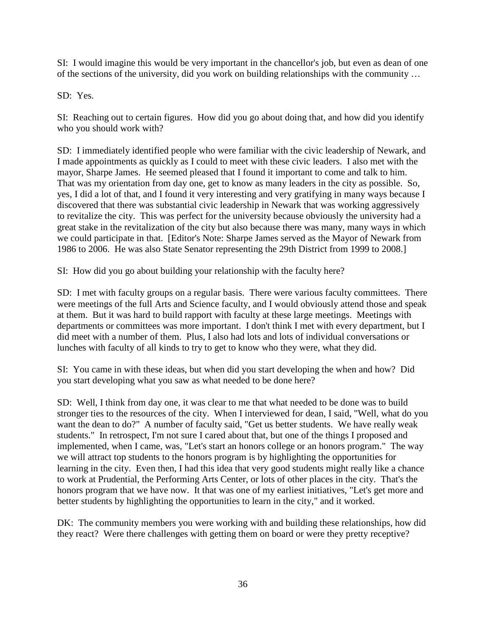SI: I would imagine this would be very important in the chancellor's job, but even as dean of one of the sections of the university, did you work on building relationships with the community …

SD: Yes.

SI: Reaching out to certain figures. How did you go about doing that, and how did you identify who you should work with?

SD: I immediately identified people who were familiar with the civic leadership of Newark, and I made appointments as quickly as I could to meet with these civic leaders. I also met with the mayor, Sharpe James. He seemed pleased that I found it important to come and talk to him. That was my orientation from day one, get to know as many leaders in the city as possible. So, yes, I did a lot of that, and I found it very interesting and very gratifying in many ways because I discovered that there was substantial civic leadership in Newark that was working aggressively to revitalize the city. This was perfect for the university because obviously the university had a great stake in the revitalization of the city but also because there was many, many ways in which we could participate in that. [Editor's Note: Sharpe James served as the Mayor of Newark from 1986 to 2006. He was also State Senator representing the 29th District from 1999 to 2008.]

SI: How did you go about building your relationship with the faculty here?

SD: I met with faculty groups on a regular basis. There were various faculty committees. There were meetings of the full Arts and Science faculty, and I would obviously attend those and speak at them. But it was hard to build rapport with faculty at these large meetings. Meetings with departments or committees was more important. I don't think I met with every department, but I did meet with a number of them. Plus, I also had lots and lots of individual conversations or lunches with faculty of all kinds to try to get to know who they were, what they did.

SI: You came in with these ideas, but when did you start developing the when and how? Did you start developing what you saw as what needed to be done here?

SD: Well, I think from day one, it was clear to me that what needed to be done was to build stronger ties to the resources of the city. When I interviewed for dean, I said, "Well, what do you want the dean to do?" A number of faculty said, "Get us better students. We have really weak students." In retrospect, I'm not sure I cared about that, but one of the things I proposed and implemented, when I came, was, "Let's start an honors college or an honors program." The way we will attract top students to the honors program is by highlighting the opportunities for learning in the city. Even then, I had this idea that very good students might really like a chance to work at Prudential, the Performing Arts Center, or lots of other places in the city. That's the honors program that we have now. It that was one of my earliest initiatives, "Let's get more and better students by highlighting the opportunities to learn in the city," and it worked.

DK: The community members you were working with and building these relationships, how did they react? Were there challenges with getting them on board or were they pretty receptive?